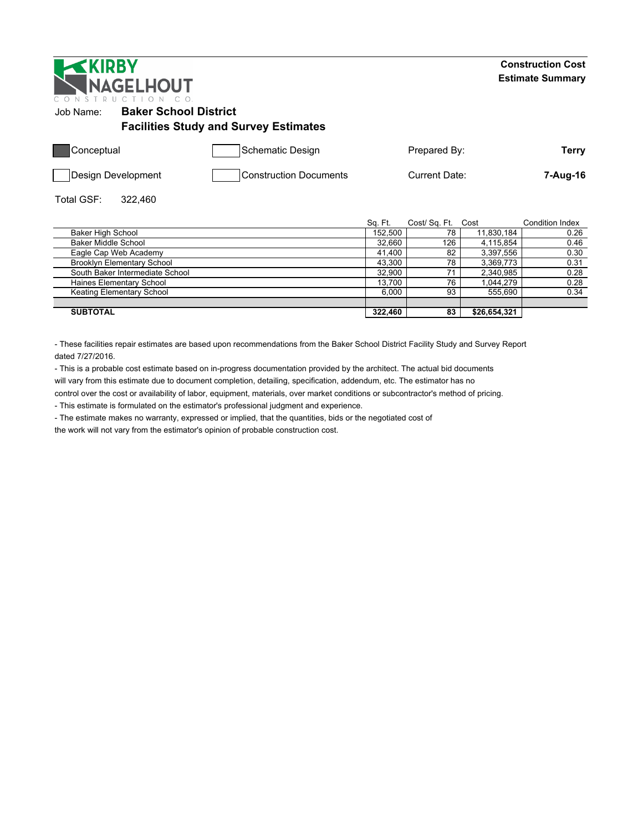| <b>EXIRBY</b><br><b>NAGELHOUT</b><br>R U C T I O N |                                              |         |                      | <b>Construction Cost</b><br><b>Estimate Summary</b> |
|----------------------------------------------------|----------------------------------------------|---------|----------------------|-----------------------------------------------------|
| <b>Baker School District</b><br>Job Name:          | <b>Facilities Study and Survey Estimates</b> |         |                      |                                                     |
| Conceptual                                         | Schematic Design                             |         | Prepared By:         | Terry                                               |
| Design Development                                 | <b>Construction Documents</b>                |         | Current Date:        | 7-Aug-16                                            |
| Total GSF:<br>322,460                              |                                              |         |                      |                                                     |
|                                                    |                                              | Sq. Ft. | Cost/Sq. Ft.<br>Cost | Condition Index                                     |

|                                   | OU.FL   | OUSI OU. FI. | wusi         | <b>UUITUUITIIIUU</b> |
|-----------------------------------|---------|--------------|--------------|----------------------|
| <b>Baker High School</b>          | 152.500 | 78           | 11.830.184   | 0.26                 |
| <b>Baker Middle School</b>        | 32.660  | 126          | 4.115.854    | 0.46                 |
| Eagle Cap Web Academy             | 41.400  | 82           | 3.397.556    | 0.30                 |
| <b>Brooklyn Elementary School</b> | 43.300  | 78           | 3.369.773    | 0.31                 |
| South Baker Intermediate School   | 32.900  |              | 2.340.985    | 0.28                 |
| Haines Elementary School          | 13.700  | 76           | 1.044.279    | 0.28                 |
| Keating Elementary School         | 6.000   | 93           | 555.690      | 0.34                 |
|                                   |         |              |              |                      |
| <b>SUBTOTAL</b>                   | 322.460 | 83           | \$26.654.321 |                      |

- These facilities repair estimates are based upon recommendations from the Baker School District Facility Study and Survey Report dated 7/27/2016.

- This is a probable cost estimate based on in-progress documentation provided by the architect. The actual bid documents will vary from this estimate due to document completion, detailing, specification, addendum, etc. The estimator has no control over the cost or availability of labor, equipment, materials, over market conditions or subcontractor's method of pricing.

- This estimate is formulated on the estimator's professional judgment and experience.

- The estimate makes no warranty, expressed or implied, that the quantities, bids or the negotiated cost of

the work will not vary from the estimator's opinion of probable construction cost.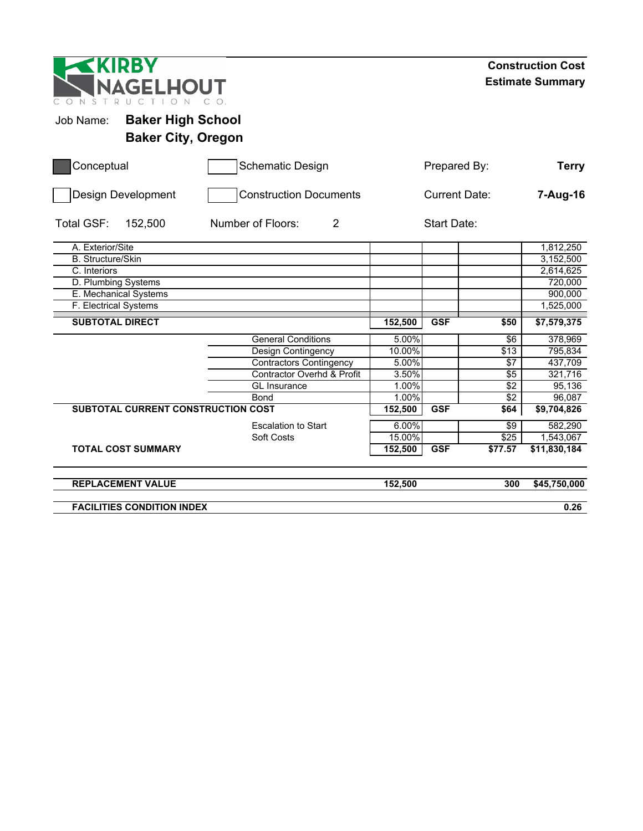| KIRBY<br>NAGELHOUT<br>CONST<br>R U C                               |                                |                      |              |                  | <b>Construction Cost</b><br><b>Estimate Summary</b> |
|--------------------------------------------------------------------|--------------------------------|----------------------|--------------|------------------|-----------------------------------------------------|
| <b>Baker High School</b><br>Job Name:<br><b>Baker City, Oregon</b> |                                |                      |              |                  |                                                     |
| Conceptual                                                         | <b>Schematic Design</b>        |                      | Prepared By: |                  | <b>Terry</b>                                        |
| <b>Design Development</b>                                          | <b>Construction Documents</b>  | <b>Current Date:</b> |              |                  | 7-Aug-16                                            |
| Total GSF:<br>152,500                                              | Number of Floors:<br>2         |                      |              |                  |                                                     |
| A. Exterior/Site                                                   |                                |                      |              |                  | 1,812,250                                           |
| <b>B.</b> Structure/Skin                                           |                                |                      |              |                  | 3,152,500                                           |
| C. Interiors                                                       |                                |                      |              |                  | 2,614,625                                           |
| D. Plumbing Systems                                                |                                |                      |              |                  | 720,000                                             |
| E. Mechanical Systems                                              |                                |                      |              |                  | 900,000                                             |
| F. Electrical Systems                                              |                                |                      |              |                  | $\overline{1,}525,000$                              |
| <b>SUBTOTAL DIRECT</b>                                             |                                | 152,500              | <b>GSF</b>   | \$50             | \$7,579,375                                         |
|                                                                    | <b>General Conditions</b>      | 5.00%                |              | \$6              | 378,969                                             |
|                                                                    | Design Contingency             | 10.00%               |              | \$13             | 795,834                                             |
|                                                                    | <b>Contractors Contingency</b> | 5.00%                |              | \$7              | 437,709                                             |
|                                                                    | Contractor Overhd & Profit     | 3.50%                |              | \$5              | 321,716                                             |
|                                                                    | <b>GL</b> Insurance            | 1.00%                |              | $\sqrt{2}$       | 95,136                                              |
|                                                                    | <b>Bond</b>                    | 1.00%                |              | $\sqrt{2}$       | 96,087                                              |
| SUBTOTAL CURRENT CONSTRUCTION COST                                 |                                | 152,500              | <b>GSF</b>   | \$64             | \$9,704,826                                         |
|                                                                    | <b>Escalation to Start</b>     | 6.00%                |              | $\sqrt{9}$       | 582,290                                             |
|                                                                    | Soft Costs                     | 15.00%               |              | $\overline{$25}$ | 1,543,067                                           |
| <b>TOTAL COST SUMMARY</b>                                          |                                | 152,500              | <b>GSF</b>   | \$77.57          | \$11,830,184                                        |
| <b>REPLACEMENT VALUE</b>                                           |                                | 152,500              |              | 300              | \$45,750,000                                        |
| <b>FACILITIES CONDITION INDEX</b>                                  |                                |                      |              |                  | 0.26                                                |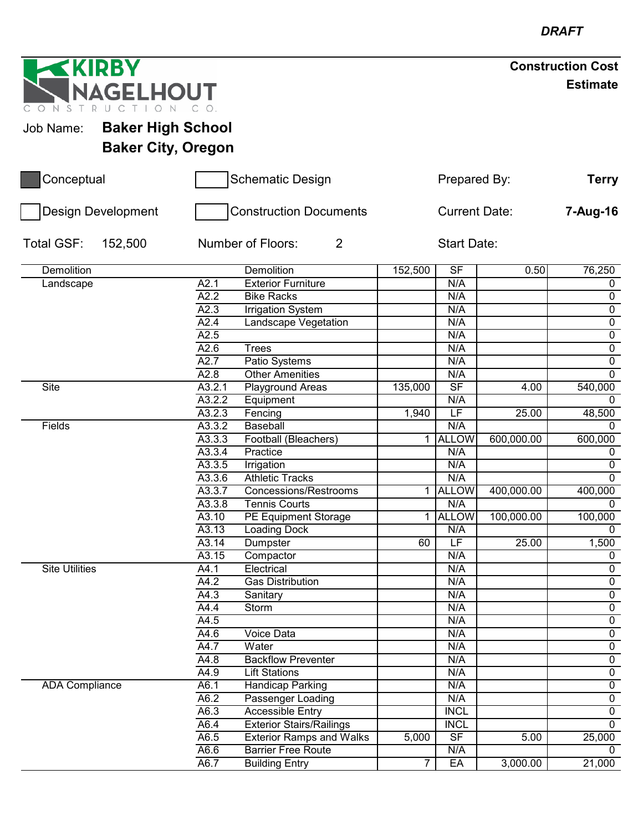| <b>EXIRBY</b>         |                           |                   |                                     |                |                          |                    | <b>Construction Cost</b> |
|-----------------------|---------------------------|-------------------|-------------------------------------|----------------|--------------------------|--------------------|--------------------------|
| CONST                 | NAGELHOUT<br>R U C        |                   |                                     |                |                          |                    | <b>Estimate</b>          |
| Job Name:             | <b>Baker High School</b>  |                   |                                     |                |                          |                    |                          |
|                       |                           |                   |                                     |                |                          |                    |                          |
|                       | <b>Baker City, Oregon</b> |                   |                                     |                |                          |                    |                          |
| Conceptual            |                           |                   | <b>Schematic Design</b>             |                | Prepared By:             |                    | <b>Terry</b>             |
|                       | Design Development        |                   | <b>Construction Documents</b>       |                | <b>Current Date:</b>     |                    | 7-Aug-16                 |
| Total GSF:            | 152,500                   |                   | $\overline{2}$<br>Number of Floors: |                | <b>Start Date:</b>       |                    |                          |
| <b>Demolition</b>     |                           |                   | Demolition                          | 152,500        | $\overline{\mathsf{SF}}$ | 0.50               | 76,250                   |
| Landscape             |                           | A2.1              | <b>Exterior Furniture</b>           |                | N/A                      |                    | 0                        |
|                       |                           | $\overline{A2.2}$ | <b>Bike Racks</b>                   |                | N/A                      |                    | 0                        |
|                       |                           | A2.3              | <b>Irrigation System</b>            |                | N/A                      |                    | 0                        |
|                       |                           | A2.4              | Landscape Vegetation                |                | N/A                      |                    | $\overline{0}$           |
|                       |                           | A2.5              |                                     |                | N/A                      |                    | $\overline{0}$           |
|                       |                           | A2.6              | <b>Trees</b>                        |                | N/A                      |                    | $\overline{0}$           |
|                       |                           | A2.7              | Patio Systems                       |                | N/A                      |                    | $\overline{0}$           |
|                       |                           | A2.8              | <b>Other Amenities</b>              |                | N/A                      |                    | $\mathbf 0$              |
| <b>Site</b>           |                           | A3.2.1            | Playground Areas                    | 135,000        | $\overline{\mathsf{SF}}$ | 4.00               | 540,000                  |
|                       |                           | A3.2.2            | Equipment                           |                | N/A                      |                    | 0                        |
|                       |                           | A3.2.3            | Fencing                             | 1,940          | $\overline{\mathsf{LF}}$ | $\overline{2}5.00$ | 48,500                   |
| Fields                |                           | A3.3.2            | <b>Baseball</b>                     |                | N/A                      |                    | 0                        |
|                       |                           | A3.3.3            | Football (Bleachers)                | 1              | <b>ALLOW</b>             | 600,000.00         | 600,000                  |
|                       |                           | A3.3.4            | Practice                            |                | N/A                      |                    | 0                        |
|                       |                           | A3.3.5            | Irrigation                          |                | N/A                      |                    | $\pmb{0}$                |
|                       |                           | A3.3.6            | <b>Athletic Tracks</b>              |                | N/A                      |                    | $\mathbf 0$              |
|                       |                           | A3.3.7            | <b>Concessions/Restrooms</b>        | $\mathbf 1$    | <b>ALLOW</b>             | 400,000.00         | 400,000                  |
|                       |                           | A3.3.8            | Tennis Courts                       |                | N/A                      |                    | 0<br>100,000             |
|                       |                           | A3.10             | <b>PE Equipment Storage</b>         | $\overline{1}$ | <b>ALLOW</b><br>N/A      | 100,000.00         |                          |
|                       |                           | A3.13<br>A3.14    | <b>Loading Dock</b>                 | 60             | LF                       | 25.00              | $\mathbf{0}$<br>1,500    |
|                       |                           | A3.15             | Dumpster<br>Compactor               |                | N/A                      |                    | $\mathbf 0$              |
| <b>Site Utilities</b> |                           | $\overline{A4.1}$ | Electrical                          |                | N/A                      |                    | $\mathbf 0$              |
|                       |                           | A4.2              | Gas Distribution                    |                | N/A                      |                    | $\mathsf{O}$             |
|                       |                           | A4.3              | Sanitary                            |                | N/A                      |                    | $\overline{0}$           |
|                       |                           | A4.4              | Storm                               |                | N/A                      |                    | $\mathsf{O}$             |
|                       |                           | $\overline{A4.5}$ |                                     |                | N/A                      |                    | $\overline{0}$           |
|                       |                           | A4.6              | Voice Data                          |                | N/A                      |                    | $\overline{0}$           |
|                       |                           | $\overline{A4.7}$ | Water                               |                | N/A                      |                    | $\overline{0}$           |
|                       |                           | A4.8              | <b>Backflow Preventer</b>           |                | N/A                      |                    | $\overline{0}$           |
|                       |                           | A4.9              | <b>Lift Stations</b>                |                | N/A                      |                    | $\overline{0}$           |
| <b>ADA Compliance</b> |                           | A6.1              | <b>Handicap Parking</b>             |                | N/A                      |                    | $\overline{0}$           |
|                       |                           | A6.2              | Passenger Loading                   |                | N/A                      |                    | $\mathbf 0$              |
|                       |                           | A6.3              | <b>Accessible Entry</b>             |                | <b>INCL</b>              |                    | $\overline{0}$           |
|                       |                           | A6.4              | <b>Exterior Stairs/Railings</b>     |                | <b>INCL</b>              |                    | $\overline{0}$           |
|                       |                           | A6.5              | <b>Exterior Ramps and Walks</b>     | 5,000          | $\overline{\mathsf{SF}}$ | 5.00               | 25,000                   |
|                       |                           | A6.6              | <b>Barrier Free Route</b>           |                | N/A                      |                    | 0                        |
|                       |                           | A6.7              | <b>Building Entry</b>               | $\overline{7}$ | EA                       | 3,000.00           | 21,000                   |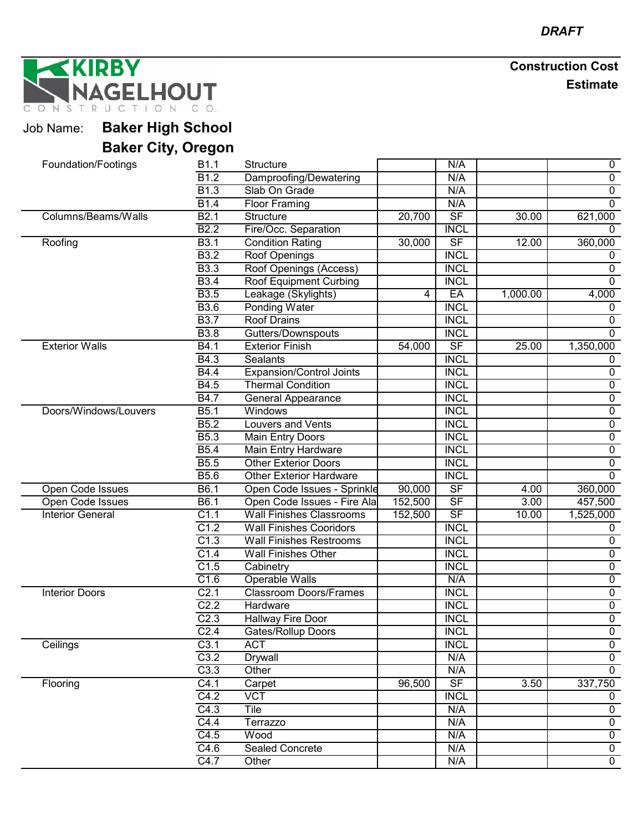NAGELHOUT

#### Job Name: **Baker High School Baker City, Oregon**

| Panoi Vity, Vivgoni     |                   |                                 |         |                          |                   |                |
|-------------------------|-------------------|---------------------------------|---------|--------------------------|-------------------|----------------|
| Foundation/Footings     | B1.1              | Structure                       |         | N/A                      |                   | $\mathbf 0$    |
|                         | B1.2              | Damproofing/Dewatering          |         | N/A                      |                   | $\overline{0}$ |
|                         | B1.3              | Slab On Grade                   |         | N/A                      |                   | $\overline{0}$ |
|                         | <b>B1.4</b>       | <b>Floor Framing</b>            |         | N/A                      |                   | $\overline{0}$ |
| Columns/Beams/Walls     | $\overline{B2.1}$ | Structure                       | 20,700  | $\overline{\mathsf{SF}}$ | 30.00             | 621,000        |
|                         | <b>B2.2</b>       | Fire/Occ. Separation            |         | <b>INCL</b>              |                   | $\Omega$       |
| Roofing                 | $\overline{B3.1}$ | <b>Condition Rating</b>         | 30,000  | $S$ F                    | 12.00             | 360,000        |
|                         | <b>B3.2</b>       | Roof Openings                   |         | <b>INCL</b>              |                   | 0              |
|                         | <b>B3.3</b>       | Roof Openings (Access)          |         | <b>INCL</b>              |                   | $\pmb{0}$      |
|                         | <b>B3.4</b>       | <b>Roof Equipment Curbing</b>   |         | <b>INCL</b>              |                   | $\overline{0}$ |
|                         | <b>B3.5</b>       | Leakage (Skylights)             | 4       | EA                       | 1,000.00          | 4,000          |
|                         | <b>B3.6</b>       | <b>Ponding Water</b>            |         | <b>INCL</b>              |                   | 0              |
|                         | <b>B3.7</b>       | <b>Roof Drains</b>              |         | <b>INCL</b>              |                   | $\overline{0}$ |
|                         | <b>B3.8</b>       | Gutters/Downspouts              |         | <b>INCL</b>              |                   | $\Omega$       |
| <b>Exterior Walls</b>   | B4.1              | <b>Exterior Finish</b>          | 54,000  | $\overline{\mathsf{SF}}$ | 25.00             | 1,350,000      |
|                         | B4.3              | <b>Sealants</b>                 |         | <b>INCL</b>              |                   | 0              |
|                         | <b>B4.4</b>       | <b>Expansion/Control Joints</b> |         | <b>INCL</b>              |                   | $\mathbf 0$    |
|                         | B4.5              | <b>Thermal Condition</b>        |         | <b>INCL</b>              |                   | $\overline{0}$ |
|                         | <b>B4.7</b>       | <b>General Appearance</b>       |         | <b>INCL</b>              |                   | $\overline{0}$ |
| Doors/Windows/Louvers   | B5.1              | Windows                         |         | <b>INCL</b>              |                   | $\overline{0}$ |
|                         | $\overline{B5.2}$ | <b>Louvers and Vents</b>        |         | <b>INCL</b>              |                   | $\overline{0}$ |
|                         | <b>B5.3</b>       | Main Entry Doors                |         | <b>INCL</b>              |                   | $\overline{0}$ |
|                         | <b>B5.4</b>       | Main Entry Hardware             |         | <b>INCL</b>              |                   | $\overline{0}$ |
|                         | <b>B5.5</b>       | <b>Other Exterior Doors</b>     |         | <b>INCL</b>              |                   | $\overline{0}$ |
|                         | <b>B5.6</b>       | <b>Other Exterior Hardware</b>  |         | <b>INCL</b>              |                   | $\mathbf 0$    |
| Open Code Issues        | B6.1              | Open Code Issues - Sprinkle     | 90,000  | $S$ F                    | 4.00              | 360,000        |
| Open Code Issues        | B6.1              | Open Code Issues - Fire Ala     | 152,500 | $\overline{\mathsf{SF}}$ | $\overline{3.00}$ | 457,500        |
| <b>Interior General</b> | C1.1              | <b>Wall Finishes Classrooms</b> | 152,500 | SF                       | 10.00             | 1,525,000      |
|                         | C1.2              | <b>Wall Finishes Cooridors</b>  |         | <b>INCL</b>              |                   | 0              |
|                         | C1.3              | <b>Wall Finishes Restrooms</b>  |         | <b>INCL</b>              |                   | $\overline{0}$ |
|                         | C1.4              | <b>Wall Finishes Other</b>      |         | <b>INCL</b>              |                   | $\mathbf 0$    |
|                         | C1.5              | Cabinetry                       |         | <b>INCL</b>              |                   | $\mathbf 0$    |
|                         | C1.6              | Operable Walls                  |         | N/A                      |                   | $\overline{0}$ |
| <b>Interior Doors</b>   | C <sub>2.1</sub>  | <b>Classroom Doors/Frames</b>   |         | <b>INCL</b>              |                   | $\overline{0}$ |
|                         | C2.2              | Hardware                        |         | <b>INCL</b>              |                   | $\overline{0}$ |
|                         | C2.3              | Hallway Fire Door               |         | <b>INCL</b>              |                   | $\overline{0}$ |
|                         | C <sub>2.4</sub>  | Gates/Rollup Doors              |         | <b>INCL</b>              |                   | $\overline{0}$ |
| Ceilings                | C3.1              | <b>ACT</b>                      |         | <b>INCL</b>              |                   | $\overline{0}$ |
|                         | C3.2              | <b>Drywall</b>                  |         | N/A                      |                   | $\overline{0}$ |
|                         | C3.3              | Other                           |         | N/A                      |                   | $\mathbf 0$    |
| Flooring                | C4.1              | Carpet                          | 96,500  | $\overline{\mathsf{SF}}$ | 3.50              | 337,750        |
|                         | C4.2              | <b>VCT</b>                      |         | <b>INCL</b>              |                   | $\mathbf 0$    |
|                         | C4.3              | Tile                            |         | N/A                      |                   | $\overline{0}$ |
|                         | C4.4              | Terrazzo                        |         | N/A                      |                   | $\mathbf 0$    |
|                         | C4.5              | Wood                            |         | N/A                      |                   | $\overline{0}$ |
|                         | C4.6              | <b>Sealed Concrete</b>          |         | N/A                      |                   | $\overline{0}$ |
|                         | C4.7              | Other                           |         | N/A                      |                   | $\overline{0}$ |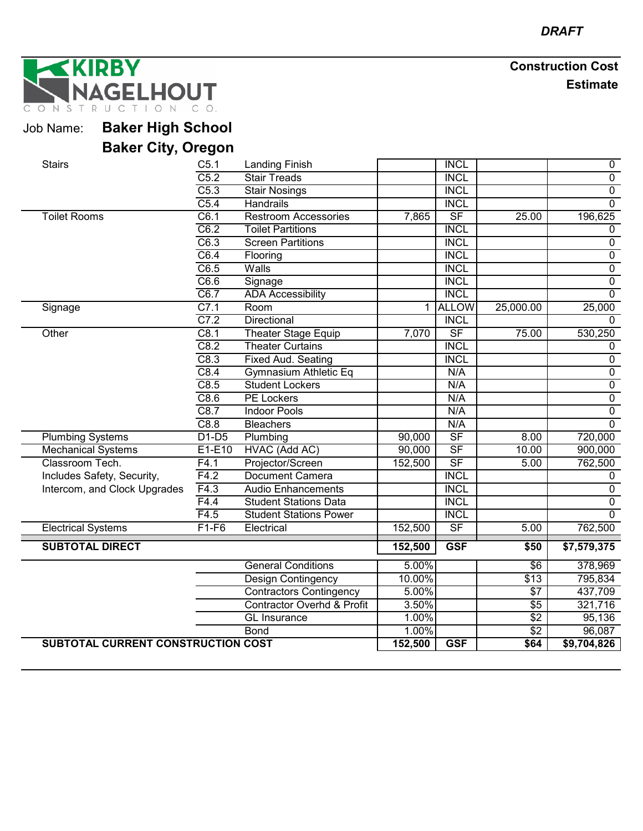KIRBY **GELHOUT** ONSTRUC

Job Name: **Baker High School**

| <b>Stairs</b>                      | C5.1    | <b>Landing Finish</b>                 |         | <b>INCL</b>              |                  | $\boldsymbol{0}$ |
|------------------------------------|---------|---------------------------------------|---------|--------------------------|------------------|------------------|
|                                    | C5.2    | <b>Stair Treads</b>                   |         | <b>INCL</b>              |                  | $\overline{0}$   |
|                                    | C5.3    | <b>Stair Nosings</b>                  |         | <b>INCL</b>              |                  | $\overline{0}$   |
|                                    | C5.4    | <b>Handrails</b>                      |         | <b>INCL</b>              |                  | $\overline{0}$   |
| <b>Toilet Rooms</b>                | C6.1    | <b>Restroom Accessories</b>           | 7,865   | $\overline{\mathsf{SF}}$ | 25.00            | 196,625          |
|                                    | C6.2    | <b>Toilet Partitions</b>              |         | <b>INCL</b>              |                  | $\mathbf 0$      |
|                                    | C6.3    | <b>Screen Partitions</b>              |         | <b>INCL</b>              |                  | $\overline{0}$   |
|                                    | C6.4    | Flooring                              |         | <b>INCL</b>              |                  | $\overline{0}$   |
|                                    | C6.5    | Walls                                 |         | <b>INCL</b>              |                  | $\overline{0}$   |
|                                    | C6.6    | Signage                               |         | <b>INCL</b>              |                  | $\overline{0}$   |
|                                    | C6.7    | <b>ADA Accessibility</b>              |         | <b>INCL</b>              |                  | $\overline{0}$   |
| Signage                            | C7.1    | Room                                  | 1       | <b>ALLOW</b>             | 25,000.00        | 25,000           |
|                                    | C7.2    | Directional                           |         | <b>INCL</b>              |                  | $\mathbf 0$      |
| Other                              | C8.1    | <b>Theater Stage Equip</b>            | 7,070   | SF                       | 75.00            | 530,250          |
|                                    | C8.2    | <b>Theater Curtains</b>               |         | <b>INCL</b>              |                  | $\mathbf 0$      |
|                                    | C8.3    | Fixed Aud. Seating                    |         | <b>INCL</b>              |                  | $\overline{0}$   |
|                                    | C8.4    | Gymnasium Athletic Eq                 |         | N/A                      |                  | $\pmb{0}$        |
|                                    | C8.5    | <b>Student Lockers</b>                |         | N/A                      |                  | $\overline{0}$   |
|                                    | C8.6    | <b>PE Lockers</b>                     |         | N/A                      |                  | $\overline{0}$   |
|                                    | C8.7    | <b>Indoor Pools</b>                   |         | N/A                      |                  | $\overline{0}$   |
|                                    | C8.8    | <b>Bleachers</b>                      |         | N/A                      |                  | $\overline{0}$   |
| <b>Plumbing Systems</b>            | $D1-D5$ | Plumbing                              | 90,000  | SF                       | 8.00             | 720,000          |
| <b>Mechanical Systems</b>          | E1-E10  | HVAC (Add AC)                         | 90,000  | SF                       | 10.00            | 900,000          |
| Classroom Tech.                    | F4.1    | Projector/Screen                      | 152,500 | SF                       | 5.00             | 762,500          |
| Includes Safety, Security,         | F4.2    | Document Camera                       |         | <b>INCL</b>              |                  | $\mathbf 0$      |
| Intercom, and Clock Upgrades       | F4.3    | <b>Audio Enhancements</b>             |         | <b>INCL</b>              |                  | $\overline{0}$   |
|                                    | F4.4    | <b>Student Stations Data</b>          |         | <b>INCL</b>              |                  | $\overline{0}$   |
|                                    | F4.5    | <b>Student Stations Power</b>         |         | <b>INCL</b>              |                  | $\Omega$         |
| <b>Electrical Systems</b>          | $F1-F6$ | Electrical                            | 152,500 | $S$ F                    | 5.00             | 762,500          |
| <b>SUBTOTAL DIRECT</b>             |         |                                       | 152,500 | <b>GSF</b>               | \$50             | \$7,579,375      |
|                                    |         | <b>General Conditions</b>             | 5.00%   |                          | $\overline{6}$   | 378,969          |
|                                    |         | Design Contingency                    | 10.00%  |                          | \$13             | 795,834          |
|                                    |         | <b>Contractors Contingency</b>        | 5.00%   |                          | $\sqrt{57}$      | 437,709          |
|                                    |         | <b>Contractor Overhd &amp; Profit</b> | 3.50%   |                          | $\overline{$}5$  | 321,716          |
|                                    |         | <b>GL</b> Insurance                   | 1.00%   |                          | $\overline{$2$}$ | 95,136           |
|                                    |         | <b>Bond</b>                           | 1.00%   |                          | $\overline{$2$}$ | 96,087           |
| SUBTOTAL CURRENT CONSTRUCTION COST |         |                                       | 152,500 | <b>GSF</b>               | \$64             | \$9,704,826      |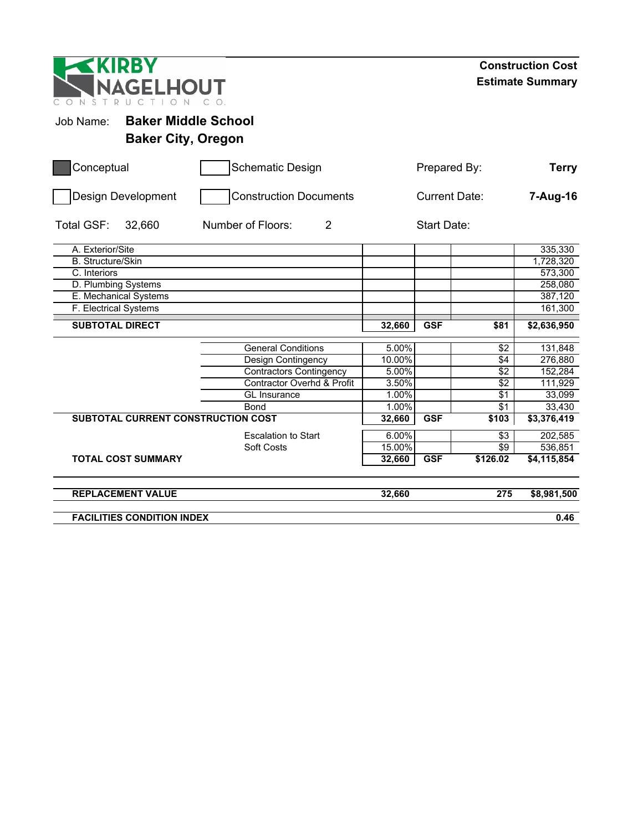| IRB<br><b>NAGELHOUT</b><br>ONS<br>T<br>$\mathsf{D}$ |                                       |                      |                    |                  | <b>Construction Cost</b><br><b>Estimate Summary</b> |  |
|-----------------------------------------------------|---------------------------------------|----------------------|--------------------|------------------|-----------------------------------------------------|--|
| Job Name:                                           | <b>Baker Middle School</b>            |                      |                    |                  |                                                     |  |
| <b>Baker City, Oregon</b>                           |                                       |                      |                    |                  |                                                     |  |
| Conceptual                                          | <b>Schematic Design</b>               |                      | Prepared By:       |                  | <b>Terry</b>                                        |  |
| Design Development                                  | <b>Construction Documents</b>         | <b>Current Date:</b> |                    |                  | 7-Aug-16                                            |  |
| Total GSF:<br>32,660                                | Number of Floors:<br>$\overline{2}$   |                      | <b>Start Date:</b> |                  |                                                     |  |
| A. Exterior/Site                                    |                                       |                      |                    |                  | 335,330                                             |  |
| <b>B.</b> Structure/Skin                            |                                       |                      |                    |                  | 1,728,320                                           |  |
| C. Interiors                                        |                                       |                      |                    |                  | 573,300                                             |  |
| D. Plumbing Systems                                 |                                       |                      |                    |                  | 258,080                                             |  |
| E. Mechanical Systems                               |                                       |                      |                    |                  | 387,120                                             |  |
| F. Electrical Systems                               |                                       |                      |                    |                  | 161,300                                             |  |
| <b>SUBTOTAL DIRECT</b>                              |                                       | 32,660               | <b>GSF</b>         | \$81             | \$2,636,950                                         |  |
|                                                     | <b>General Conditions</b>             | 5.00%                |                    | $\sqrt{2}$       | 131,848                                             |  |
|                                                     | Design Contingency                    | 10.00%               |                    | $\sqrt{4}$       | 276,880                                             |  |
|                                                     | <b>Contractors Contingency</b>        | 5.00%                |                    | $\sqrt{2}$       | 152,284                                             |  |
|                                                     | <b>Contractor Overhd &amp; Profit</b> | 3.50%                |                    | \$2              | 111,929                                             |  |
|                                                     | GL Insurance                          | 1.00%                |                    | $\sqrt{$1}$      | 33,099                                              |  |
|                                                     | Bond                                  | 1.00%                |                    | $\sqrt{$1}$      | 33,430                                              |  |
| SUBTOTAL CURRENT CONSTRUCTION COST                  |                                       | 32,660               | <b>GSF</b>         | \$103            | \$3,376,419                                         |  |
|                                                     | <b>Escalation to Start</b>            | 6.00%                |                    | $\overline{$3}$  | 202,585                                             |  |
|                                                     | Soft Costs                            | 15.00%               |                    | $\overline{\$9}$ | 536,851                                             |  |
| <b>TOTAL COST SUMMARY</b>                           |                                       | 32,660               | <b>GSF</b>         | \$126.02         | \$4,115,854                                         |  |
| <b>REPLACEMENT VALUE</b>                            |                                       | 32,660               |                    | 275              | \$8,981,500                                         |  |
| <b>FACILITIES CONDITION INDEX</b>                   |                                       |                      |                    |                  | 0.46                                                |  |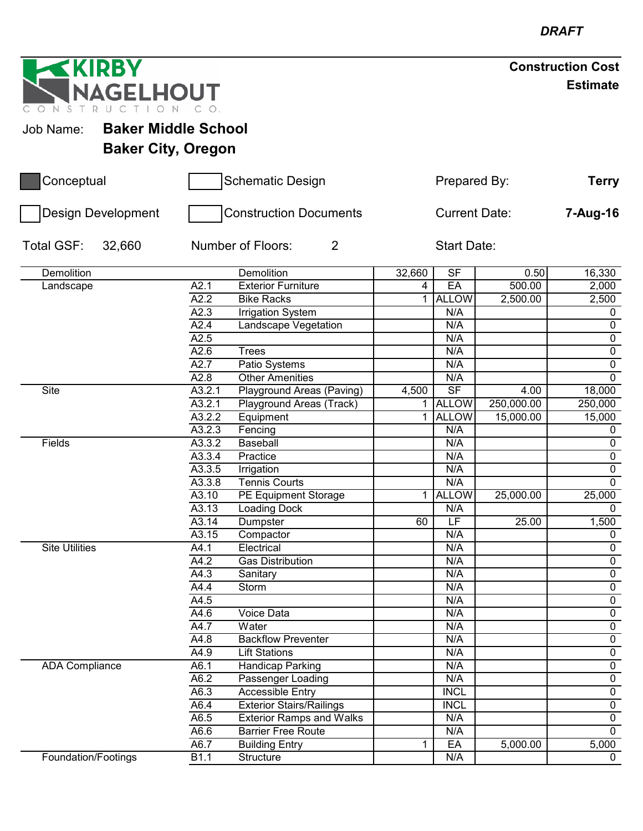| <b>EXIRBY</b>                           |        |                                 |        |                      |            | <b>Construction Cost</b> |
|-----------------------------------------|--------|---------------------------------|--------|----------------------|------------|--------------------------|
| NAGELHOUT<br>CONST<br>R U C             |        |                                 |        |                      |            | <b>Estimate</b>          |
| <b>Baker Middle School</b><br>Job Name: |        |                                 |        |                      |            |                          |
|                                         |        |                                 |        |                      |            |                          |
| <b>Baker City, Oregon</b>               |        |                                 |        |                      |            |                          |
| Conceptual                              |        | <b>Schematic Design</b>         |        | Prepared By:         |            | Terry                    |
| <b>Design Development</b>               |        | <b>Construction Documents</b>   |        | <b>Current Date:</b> |            | 7-Aug-16                 |
| Total GSF:<br>32,660                    |        | Number of Floors:<br>2          |        | Start Date:          |            |                          |
| Demolition                              |        | Demolition                      | 32,660 | <b>SF</b>            | 0.50       | 16,330                   |
| Landscape                               | A2.1   | <b>Exterior Furniture</b>       | 4      | EA                   | 500.00     | 2,000                    |
|                                         | A2.2   | <b>Bike Racks</b>               | 1.     | <b>ALLOW</b>         | 2,500.00   | 2,500                    |
|                                         | A2.3   | <b>Irrigation System</b>        |        | N/A                  |            | 0                        |
|                                         | A2.4   | Landscape Vegetation            |        | N/A                  |            | $\pmb{0}$                |
|                                         | A2.5   |                                 |        | N/A                  |            | $\pmb{0}$                |
|                                         | A2.6   | Trees                           |        | N/A                  |            | $\overline{0}$           |
|                                         | A2.7   | Patio Systems                   |        | N/A                  |            | $\overline{0}$           |
|                                         | A2.8   | <b>Other Amenities</b>          |        | N/A                  |            | $\overline{0}$           |
| Site                                    | A3.2.1 | Playground Areas (Paving)       | 4,500  | SF                   | 4.00       | 18,000                   |
|                                         | A3.2.1 | Playground Areas (Track)        |        | 1 ALLOW              | 250,000.00 | 250,000                  |
|                                         | A3.2.2 | Equipment                       | 1.     | <b>ALLOW</b>         | 15,000.00  | 15,000                   |
|                                         | A3.2.3 | Fencing                         |        | N/A                  |            | $\mathbf 0$              |
| Fields                                  | A3.3.2 | <b>Baseball</b>                 |        | N/A                  |            | $\pmb{0}$                |
|                                         | A3.3.4 | Practice                        |        | N/A                  |            | $\pmb{0}$                |
|                                         | A3.3.5 | Irrigation                      |        | N/A                  |            | $\overline{0}$           |
|                                         | A3.3.8 | <b>Tennis Courts</b>            |        | N/A                  |            | $\overline{0}$           |
|                                         | A3.10  | PE Equipment Storage            | 1.     | <b>ALLOW</b>         | 25,000.00  | 25,000                   |
|                                         | A3.13  | <b>Loading Dock</b>             |        | N/A                  |            | $\mathbf{0}$             |
|                                         | A3.14  | Dumpster                        | 60     | LF                   | 25.00      | 1,500                    |
|                                         | A3.15  | Compactor                       |        | N/A                  |            | 0                        |
| <b>Site Utilities</b>                   | A4.1   | Electrical                      |        | N/A                  |            | $\mathbf 0$              |
|                                         | A4.2   | <b>Gas Distribution</b>         |        | N/A                  |            | $\mathbf 0$              |
|                                         | A4.3   | Sanitary                        |        | N/A                  |            | $\overline{0}$           |
|                                         | A4.4   | Storm                           |        | N/A                  |            | $\overline{0}$           |
|                                         | A4.5   |                                 |        | N/A                  |            | $\overline{0}$           |
|                                         | A4.6   | <b>Voice Data</b>               |        | N/A                  |            | $\overline{0}$           |
|                                         | A4.7   | Water                           |        | N/A                  |            | $\overline{0}$           |
|                                         | A4.8   | <b>Backflow Preventer</b>       |        | N/A                  |            | $\overline{0}$           |
|                                         | A4.9   | <b>Lift Stations</b>            |        | N/A                  |            | $\overline{0}$           |
| <b>ADA Compliance</b>                   | A6.1   | <b>Handicap Parking</b>         |        | N/A                  |            | $\overline{0}$           |
|                                         | A6.2   | Passenger Loading               |        | N/A                  |            | $\overline{0}$           |
|                                         | A6.3   | <b>Accessible Entry</b>         |        | <b>INCL</b>          |            | $\overline{0}$           |
|                                         | A6.4   | <b>Exterior Stairs/Railings</b> |        | <b>INCL</b>          |            | $\mathbf 0$              |
|                                         | A6.5   | <b>Exterior Ramps and Walks</b> |        | N/A                  |            | $\overline{0}$           |
|                                         | A6.6   | <b>Barrier Free Route</b>       |        | N/A                  |            | $\mathbf 0$              |
|                                         | A6.7   | <b>Building Entry</b>           | 1.     | EA                   | 5,000.00   | 5,000                    |
| Foundation/Footings                     | B1.1   | Structure                       |        | N/A                  |            | $\mathbf 0$              |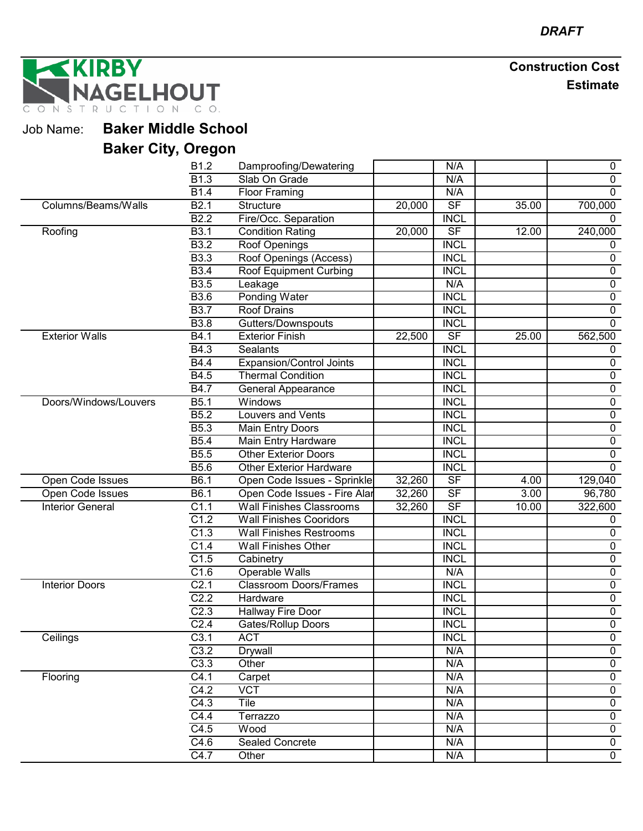**IRBY GELHOUT**  $CO<sub>2</sub>$ O N STRU  $\mathbb N$  $\subset$  $T$   $\perp$ 

Job Name: **Baker Middle School**

|                         | B1.2              | Damproofing/Dewatering          |                     | N/A                      |       | $\mathbf 0$    |
|-------------------------|-------------------|---------------------------------|---------------------|--------------------------|-------|----------------|
|                         | B <sub>1.3</sub>  | Slab On Grade                   |                     | N/A                      |       | 0              |
|                         | <b>B1.4</b>       | <b>Floor Framing</b>            |                     | N/A                      |       | $\mathbf 0$    |
| Columns/Beams/Walls     | B <sub>2.1</sub>  | Structure                       | 20,000              | $\overline{\mathsf{SF}}$ | 35.00 | 700,000        |
|                         | <b>B2.2</b>       | Fire/Occ. Separation            |                     | <b>INCL</b>              |       | 0              |
| Roofing                 | <b>B3.1</b>       | <b>Condition Rating</b>         | 20,000              | SF                       | 12.00 | 240,000        |
|                         | <b>B3.2</b>       | Roof Openings                   |                     | <b>INCL</b>              |       | $\mathbf 0$    |
|                         | <b>B3.3</b>       | Roof Openings (Access)          |                     | <b>INCL</b>              |       | $\mathbf 0$    |
|                         | <b>B3.4</b>       | <b>Roof Equipment Curbing</b>   |                     | <b>INCL</b>              |       | $\pmb{0}$      |
|                         | <b>B3.5</b>       | Leakage                         |                     | N/A                      |       | $\pmb{0}$      |
|                         | <b>B3.6</b>       | Ponding Water                   |                     | <b>INCL</b>              |       | $\pmb{0}$      |
|                         | <b>B3.7</b>       | <b>Roof Drains</b>              |                     | <b>INCL</b>              |       | $\mathbf 0$    |
|                         | <b>B3.8</b>       | Gutters/Downspouts              |                     | <b>INCL</b>              |       | $\mathbf 0$    |
| <b>Exterior Walls</b>   | $\overline{B4.1}$ | <b>Exterior Finish</b>          | $\overline{2}2,500$ | SF                       | 25.00 | 562,500        |
|                         | B4.3              | <b>Sealants</b>                 |                     | <b>INCL</b>              |       | 0              |
|                         | <b>B4.4</b>       | <b>Expansion/Control Joints</b> |                     | <b>INCL</b>              |       | $\pmb{0}$      |
|                         | B4.5              | <b>Thermal Condition</b>        |                     | <b>INCL</b>              |       | $\pmb{0}$      |
|                         | <b>B4.7</b>       | <b>General Appearance</b>       |                     | <b>INCL</b>              |       | $\pmb{0}$      |
| Doors/Windows/Louvers   | B5.1              | Windows                         |                     | <b>INCL</b>              |       | $\pmb{0}$      |
|                         | B5.2              | Louvers and Vents               |                     | <b>INCL</b>              |       | $\overline{0}$ |
|                         | B <sub>5.3</sub>  | <b>Main Entry Doors</b>         |                     | <b>INCL</b>              |       | $\pmb{0}$      |
|                         | <b>B5.4</b>       | Main Entry Hardware             |                     | <b>INCL</b>              |       | $\pmb{0}$      |
|                         | <b>B5.5</b>       | <b>Other Exterior Doors</b>     |                     | <b>INCL</b>              |       | $\mathbf 0$    |
|                         | <b>B5.6</b>       | <b>Other Exterior Hardware</b>  |                     | <b>INCL</b>              |       | $\mathbf{0}$   |
| Open Code Issues        | B6.1              | Open Code Issues - Sprinkle     | 32,260              | SF                       | 4.00  | 129,040        |
| Open Code Issues        | B6.1              | Open Code Issues - Fire Alar    | 32,260              | $S$ F                    | 3.00  | 96,780         |
| <b>Interior General</b> | $\overline{C1.1}$ | <b>Wall Finishes Classrooms</b> | 32,260              | SF                       | 10.00 | 322,600        |
|                         | C1.2              | <b>Wall Finishes Cooridors</b>  |                     | <b>INCL</b>              |       | $\mathbf 0$    |
|                         | C1.3              | <b>Wall Finishes Restrooms</b>  |                     | <b>INCL</b>              |       | $\pmb{0}$      |
|                         | C1.4              | <b>Wall Finishes Other</b>      |                     | <b>INCL</b>              |       | $\pmb{0}$      |
|                         | C1.5              | Cabinetry                       |                     | <b>INCL</b>              |       | $\overline{0}$ |
|                         | C1.6              | Operable Walls                  |                     | N/A                      |       | $\pmb{0}$      |
| <b>Interior Doors</b>   | C <sub>2.1</sub>  | <b>Classroom Doors/Frames</b>   |                     | <b>INCL</b>              |       | $\pmb{0}$      |
|                         | C <sub>2.2</sub>  | Hardware                        |                     | <b>INCL</b>              |       | $\overline{0}$ |
|                         | C <sub>2.3</sub>  | Hallway Fire Door               |                     | <b>INCL</b>              |       | $\pmb{0}$      |
|                         | C <sub>2.4</sub>  | <b>Gates/Rollup Doors</b>       |                     | <b>INCL</b>              |       | $\overline{0}$ |
| Ceilings                | C3.1              | <b>ACT</b>                      |                     | <b>INCL</b>              |       | $\mathbf 0$    |
|                         | C3.2              | Drywall                         |                     | N/A                      |       | $\mathbf 0$    |
|                         | C3.3              | Other                           |                     | N/A                      |       | $\overline{0}$ |
| Flooring                | C4.1              | Carpet                          |                     | N/A                      |       | $\pmb{0}$      |
|                         | C4.2              | <b>VCT</b>                      |                     | N/A                      |       | $\overline{0}$ |
|                         | C4.3              | Tile                            |                     | N/A                      |       | $\overline{0}$ |
|                         | C4.4              | Terrazzo                        |                     | N/A                      |       | 0              |
|                         | C4.5              | Wood                            |                     | N/A                      |       | $\mathbf 0$    |
|                         | C4.6              | <b>Sealed Concrete</b>          |                     | N/A                      |       | $\overline{0}$ |
|                         | C4.7              | Other                           |                     | N/A                      |       | $\overline{0}$ |
|                         |                   |                                 |                     |                          |       |                |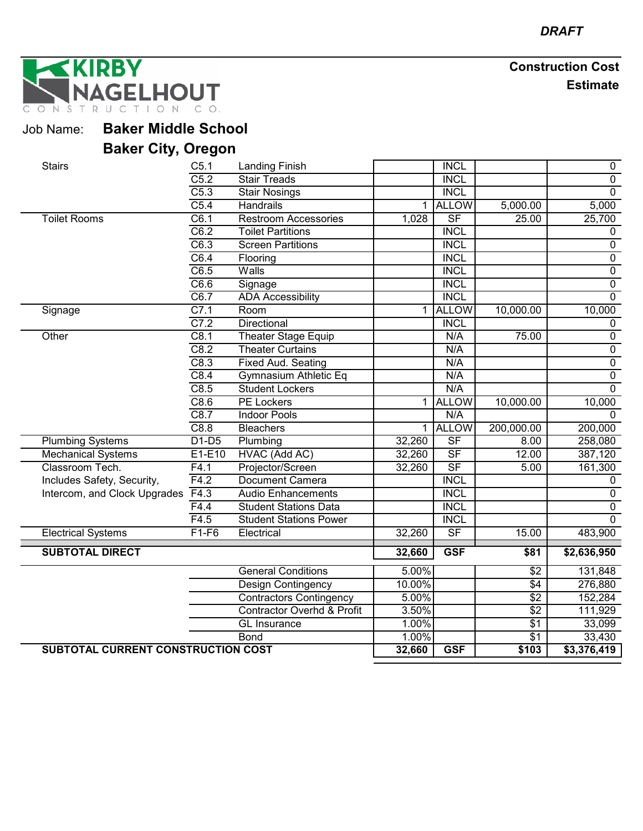**IRBY GELHOUT**  $C$   $O$ . TION NSTRU  $\subset$ 

Job Name: **Baker Middle School**

| <b>Stairs</b>                      | C <sub>5.1</sub>  | <b>Landing Finish</b>                 |              | <b>INCL</b>              |                  | 0                       |
|------------------------------------|-------------------|---------------------------------------|--------------|--------------------------|------------------|-------------------------|
|                                    | C5.2              | <b>Stair Treads</b>                   |              | <b>INCL</b>              |                  | $\overline{0}$          |
|                                    | C5.3              | <b>Stair Nosings</b>                  |              | <b>INCL</b>              |                  | $\overline{0}$          |
|                                    | $\overline{C5.4}$ | Handrails                             | $\mathbf 1$  | <b>ALLOW</b>             | 5,000.00         | 5,000                   |
| <b>Toilet Rooms</b>                | C6.1              | <b>Restroom Accessories</b>           | 1,028        | $\overline{\mathsf{SF}}$ | 25.00            | 25,700                  |
|                                    | C6.2              | <b>Toilet Partitions</b>              |              | <b>INCL</b>              |                  | $\mathbf{0}$            |
|                                    | C6.3              | <b>Screen Partitions</b>              |              | <b>INCL</b>              |                  | $\overline{0}$          |
|                                    | C6.4              | Flooring                              |              | <b>INCL</b>              |                  | $\pmb{0}$               |
|                                    | C6.5              | Walls                                 |              | <b>INCL</b>              |                  | $\overline{0}$          |
|                                    | C6.6              | Signage                               |              | <b>INCL</b>              |                  | $\overline{0}$          |
|                                    | C6.7              | <b>ADA Accessibility</b>              |              | <b>INCL</b>              |                  | $\overline{0}$          |
| Signage                            | C7.1              | Room                                  | 1.           | <b>ALLOW</b>             | 10,000.00        | 10,000                  |
|                                    | C7.2              | Directional                           |              | <b>INCL</b>              |                  | $\mathbf 0$             |
| Other                              | C8.1              | <b>Theater Stage Equip</b>            |              | N/A                      | 75.00            | $\pmb{0}$               |
|                                    | C8.2              | <b>Theater Curtains</b>               |              | N/A                      |                  | $\pmb{0}$               |
|                                    | C8.3              | Fixed Aud. Seating                    |              | N/A                      |                  | $\overline{0}$          |
|                                    | C8.4              | <b>Gymnasium Athletic Eq</b>          |              | N/A                      |                  | $\overline{0}$          |
|                                    | C8.5              | <b>Student Lockers</b>                |              | N/A                      |                  | $\overline{0}$          |
|                                    | C8.6              | <b>PE Lockers</b>                     | $\mathbf{1}$ | <b>ALLOW</b>             | 10,000.00        | 10,000                  |
|                                    | C8.7              | <b>Indoor Pools</b>                   |              | N/A                      |                  | $\Omega$                |
|                                    | C8.8              | <b>Bleachers</b>                      | $\mathbf 1$  | <b>ALLOW</b>             | 200,000.00       | 200,000                 |
| <b>Plumbing Systems</b>            | $D1-D5$           | Plumbing                              | 32,260       | $\overline{\mathsf{SF}}$ | 8.00             | 258,080                 |
| <b>Mechanical Systems</b>          | E1-E10            | HVAC (Add AC)                         | 32,260       | $\overline{\mathsf{SF}}$ | 12.00            | 387,120                 |
| Classroom Tech.                    | F4.1              | Projector/Screen                      | 32,260       | $\overline{\mathsf{SF}}$ | 5.00             | 161,300                 |
| Includes Safety, Security,         | F4.2              | Document Camera                       |              | <b>INCL</b>              |                  | $\mathbf{0}$            |
| Intercom, and Clock Upgrades       | F4.3              | <b>Audio Enhancements</b>             |              | <b>INCL</b>              |                  | 0                       |
|                                    | F4.4              | <b>Student Stations Data</b>          |              | <b>INCL</b>              |                  | $\pmb{0}$               |
|                                    | F4.5              | <b>Student Stations Power</b>         |              | <b>INCL</b>              |                  | $\overline{0}$          |
| <b>Electrical Systems</b>          | $F1-F6$           | Electrical                            | 32,260       | $\overline{\mathsf{SF}}$ | 15.00            | 483,900                 |
| <b>SUBTOTAL DIRECT</b>             |                   |                                       | 32,660       | <b>GSF</b>               | \$81             | \$2,636,950             |
|                                    |                   | <b>General Conditions</b>             | 5.00%        |                          | $\overline{$2$}$ | 131,848                 |
|                                    |                   | <b>Design Contingency</b>             | 10.00%       |                          | \$4              | 276,880                 |
|                                    |                   | <b>Contractors Contingency</b>        | 5.00%        |                          | $\overline{$2$}$ | 152,284                 |
|                                    |                   | <b>Contractor Overhd &amp; Profit</b> | 3.50%        |                          | $\overline{$2$}$ | 111,929                 |
|                                    |                   | GL Insurance                          | 1.00%        |                          | $\sqrt{$1}$      | 33,099                  |
|                                    |                   | <b>Bond</b>                           | 1.00%        |                          | \$1              | 33,430                  |
| SUBTOTAL CURRENT CONSTRUCTION COST |                   |                                       | 32,660       | <b>GSF</b>               | \$103            | $\overline{$3,376,419}$ |
|                                    |                   |                                       |              |                          |                  |                         |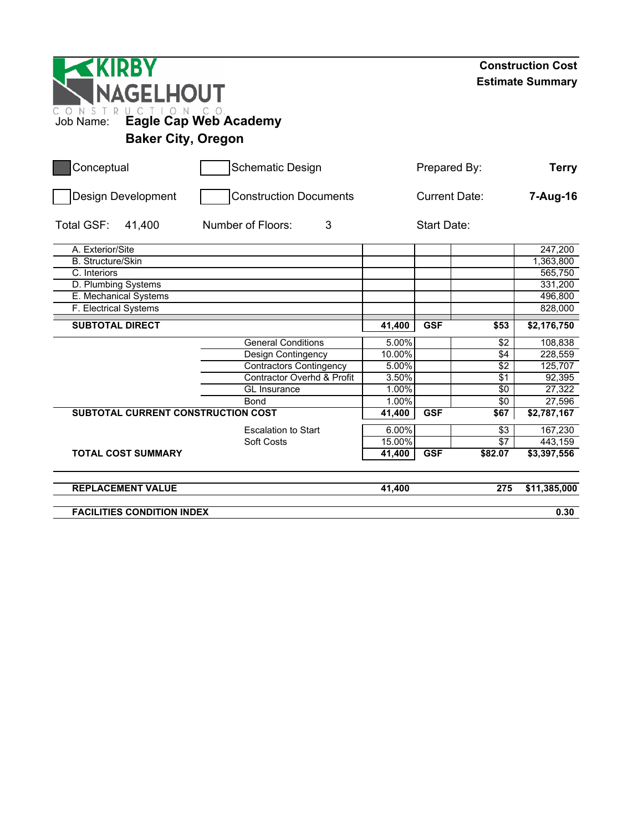| <b>NAGELHOUT</b><br>NSTR<br>Job Name:     | UCTION CO.<br><b>Eagle Cap Web Academy</b> |              |                      |              | <b>Construction Cost</b><br><b>Estimate Summary</b> |
|-------------------------------------------|--------------------------------------------|--------------|----------------------|--------------|-----------------------------------------------------|
| <b>Baker City, Oregon</b>                 |                                            |              |                      |              | <b>Terry</b>                                        |
| Conceptual                                | <b>Schematic Design</b>                    | Prepared By: |                      |              |                                                     |
| Design Development                        | <b>Construction Documents</b>              |              | <b>Current Date:</b> |              |                                                     |
| Total GSF:<br>41,400                      | Number of Floors:<br>3                     |              | Start Date:          |              |                                                     |
| A. Exterior/Site                          |                                            |              |                      |              | $\overline{247}$ , 200                              |
| <b>B.</b> Structure/Skin                  |                                            |              |                      |              | 1,363,800                                           |
| C. Interiors                              |                                            |              |                      |              | 565,750                                             |
| D. Plumbing Systems                       |                                            |              |                      |              | 331,200                                             |
| E. Mechanical Systems                     |                                            |              |                      |              | 496,800                                             |
| F. Electrical Systems                     |                                            |              |                      |              | 828,000                                             |
| <b>SUBTOTAL DIRECT</b>                    |                                            | 41,400       | <b>GSF</b>           | \$53         | \$2,176,750                                         |
|                                           | <b>General Conditions</b>                  | 5.00%        |                      | $\sqrt{$2$}$ | 108,838                                             |
|                                           | Design Contingency                         | 10.00%       |                      | \$4          | 228,559                                             |
|                                           | <b>Contractors Contingency</b>             | 5.00%        |                      | $\sqrt{2}$   | 125,707                                             |
|                                           | <b>Contractor Overhd &amp; Profit</b>      | 3.50%        |                      | \$1          | 92,395                                              |
|                                           | <b>GL</b> Insurance                        | 1.00%        |                      | \$0          | 27,322                                              |
|                                           | Bond                                       | 1.00%        |                      | $\sqrt{6}$   | 27,596                                              |
| <b>SUBTOTAL CURRENT CONSTRUCTION COST</b> |                                            | 41,400       | <b>GSF</b>           | \$67         | \$2,787,167                                         |
|                                           | <b>Escalation to Start</b>                 | 6.00%        |                      | \$3          | 167,230                                             |
|                                           | Soft Costs                                 | 15.00%       |                      | $\sqrt{$7}$  | 443,159                                             |
| <b>TOTAL COST SUMMARY</b>                 |                                            | 41,400       | <b>GSF</b>           | \$82.07      | \$3,397,556                                         |
| <b>REPLACEMENT VALUE</b>                  |                                            | 41,400       |                      | 275          | \$11,385,000                                        |
| <b>FACILITIES CONDITION INDEX</b>         |                                            |              |                      |              | 0.30                                                |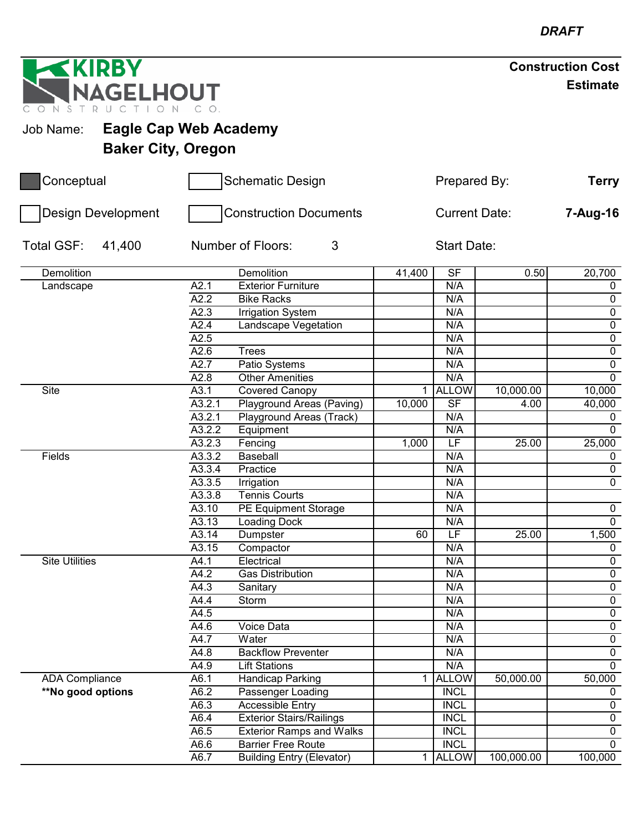| <b>EKIRBY</b>                             |                        |                                                              |        |                            |             | <b>Construction Cost</b> |  |
|-------------------------------------------|------------------------|--------------------------------------------------------------|--------|----------------------------|-------------|--------------------------|--|
| NAGELHOUT<br>N S<br>$\top$                |                        |                                                              |        |                            |             | <b>Estimate</b>          |  |
| <b>Eagle Cap Web Academy</b><br>Job Name: |                        |                                                              |        |                            |             |                          |  |
| <b>Baker City, Oregon</b>                 |                        |                                                              |        |                            |             |                          |  |
| Conceptual                                |                        | <b>Schematic Design</b>                                      |        | Prepared By:               |             | <b>Terry</b>             |  |
| Design Development                        |                        | <b>Construction Documents</b>                                |        | <b>Current Date:</b>       |             | 7-Aug-16                 |  |
| Total GSF:<br>41,400                      | Number of Floors:<br>3 |                                                              |        |                            | Start Date: |                          |  |
| Demolition                                |                        | <b>Demolition</b>                                            | 41,400 | <b>SF</b>                  | 0.50        | 20,700                   |  |
| Landscape                                 | A2.1                   | <b>Exterior Furniture</b>                                    |        | N/A                        |             | $\mathbf 0$              |  |
|                                           | A2.2                   | <b>Bike Racks</b>                                            |        | N/A                        |             | $\mathbf 0$              |  |
|                                           | A2.3                   | <b>Irrigation System</b>                                     |        | N/A                        |             | $\pmb{0}$                |  |
|                                           | A2.4                   | Landscape Vegetation                                         |        | N/A                        |             | 0                        |  |
|                                           | A2.5                   |                                                              |        | N/A                        |             | $\boldsymbol{0}$         |  |
|                                           | A2.6                   | Trees                                                        |        | N/A                        |             | $\overline{0}$           |  |
|                                           | A2.7                   | Patio Systems                                                |        | N/A                        |             | $\mathbf 0$              |  |
|                                           | A2.8                   | <b>Other Amenities</b>                                       |        | N/A                        |             | $\mathbf 0$              |  |
| <b>Site</b>                               | A3.1                   | Covered Canopy                                               | 1      | <b>ALLOW</b>               | 10,000.00   | 10,000                   |  |
|                                           | A3.2.1                 | Playground Areas (Paving)                                    | 10,000 | <b>SF</b>                  | 4.00        | 40,000                   |  |
|                                           | A3.2.1                 | Playground Areas (Track)                                     |        | N/A                        |             | 0                        |  |
|                                           | A3.2.2                 | Equipment                                                    |        | N/A                        |             | $\Omega$                 |  |
|                                           | A3.2.3                 | Fencing                                                      | 1,000  | $\overline{\mathsf{LF}}$   | 25.00       | 25,000                   |  |
| Fields                                    | A3.3.2                 | Baseball                                                     |        | N/A                        |             | 0                        |  |
|                                           | A3.3.4                 | Practice                                                     |        | N/A                        |             | $\boldsymbol{0}$         |  |
|                                           | A3.3.5                 | Irrigation                                                   |        | N/A                        |             | 0                        |  |
|                                           | A3.3.8                 | <b>Tennis Courts</b>                                         |        | N/A                        |             |                          |  |
|                                           | A3.10                  | <b>PE Equipment Storage</b>                                  |        | N/A                        |             | 0                        |  |
|                                           | A3.13                  | Loading Dock                                                 |        | N/A                        |             | $\overline{0}$           |  |
|                                           | A3.14                  | Dumpster                                                     | 60     | $\overline{\mathsf{LF}}$   | 25.00       | 1,500                    |  |
|                                           | A3.15                  | Compactor                                                    |        | N/A                        |             | 0                        |  |
| <b>Site Utilities</b>                     | A4.1                   | Electrical                                                   |        | N/A                        |             | $\mathbf 0$              |  |
|                                           | A4.2                   | <b>Gas Distribution</b>                                      |        | N/A                        |             | $\mathbf 0$              |  |
|                                           | A4.3                   | Sanitary                                                     |        | N/A                        |             | $\mathbf 0$              |  |
|                                           | A4.4                   | Storm                                                        |        | N/A                        |             | $\mathbf 0$              |  |
|                                           | A4.5                   |                                                              |        | N/A                        |             | $\overline{0}$           |  |
|                                           | A4.6                   | Voice Data                                                   |        | N/A                        |             | $\mathbf 0$              |  |
|                                           | A4.7                   | Water                                                        |        | N/A                        |             | 0                        |  |
|                                           | A4.8                   | <b>Backflow Preventer</b>                                    |        | N/A                        |             | $\mathbf 0$              |  |
|                                           | A4.9                   | <b>Lift Stations</b>                                         |        | N/A                        |             | $\mathbf 0$              |  |
| <b>ADA Compliance</b>                     | A6.1                   | <b>Handicap Parking</b>                                      | 1      | <b>ALLOW</b>               | 50,000.00   | 50,000                   |  |
| **No good options                         | A6.2                   | Passenger Loading                                            |        | <b>INCL</b>                |             | 0                        |  |
|                                           | A6.3                   | <b>Accessible Entry</b>                                      |        | <b>INCL</b><br><b>INCL</b> |             | $\mathbf 0$              |  |
|                                           | A6.4                   | <b>Exterior Stairs/Railings</b>                              |        | <b>INCL</b>                |             | $\mathbf 0$              |  |
|                                           | A6.5                   | <b>Exterior Ramps and Walks</b><br><b>Barrier Free Route</b> |        | <b>INCL</b>                |             | 0<br>$\mathbf 0$         |  |
|                                           | A6.6                   |                                                              |        |                            |             |                          |  |
|                                           | A6.7                   | <b>Building Entry (Elevator)</b>                             |        | 1 ALLOW                    | 100,000.00  | 100,000                  |  |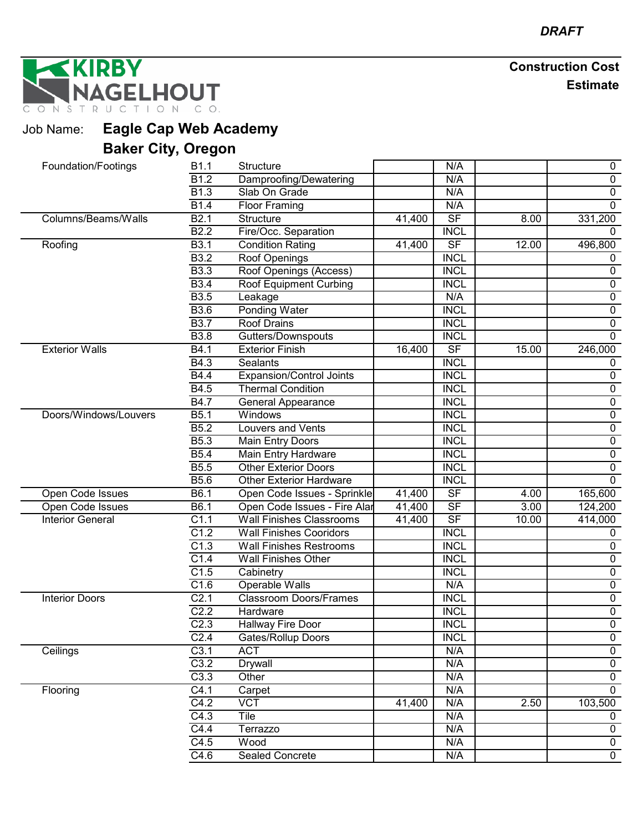NAGELHOUT

| Job Name: | <b>Eagle Cap Web Academy</b> |
|-----------|------------------------------|
|           | <b>Baker City, Oregon</b>    |

| Foundation/Footings     |                       | <b>B1.1</b>       | Structure                       |        | N/A                      |       | 0              |
|-------------------------|-----------------------|-------------------|---------------------------------|--------|--------------------------|-------|----------------|
|                         |                       | $\overline{B1.2}$ | Damproofing/Dewatering          |        | N/A                      |       | $\pmb{0}$      |
|                         |                       | B <sub>1.3</sub>  | Slab On Grade                   |        | N/A                      |       | $\mathbf 0$    |
|                         |                       | <b>B1.4</b>       | <b>Floor Framing</b>            |        | N/A                      |       | $\mathbf 0$    |
| Columns/Beams/Walls     |                       | B2.1              | Structure                       | 41,400 | $\overline{\mathsf{SF}}$ | 8.00  | 331,200        |
|                         |                       | <b>B2.2</b>       | Fire/Occ. Separation            |        | <b>INCL</b>              |       | $\Omega$       |
| Roofing                 |                       | <b>B3.1</b>       | <b>Condition Rating</b>         | 41,400 | $\overline{\mathsf{SF}}$ | 12.00 | 496,800        |
|                         |                       | <b>B3.2</b>       | Roof Openings                   |        | <b>INCL</b>              |       | 0              |
|                         |                       | <b>B3.3</b>       | Roof Openings (Access)          |        | <b>INCL</b>              |       | $\pmb{0}$      |
|                         |                       | <b>B3.4</b>       | <b>Roof Equipment Curbing</b>   |        | <b>INCL</b>              |       | $\pmb{0}$      |
|                         |                       | <b>B3.5</b>       | Leakage                         |        | N/A                      |       | $\pmb{0}$      |
|                         |                       | <b>B3.6</b>       | <b>Ponding Water</b>            |        | <b>INCL</b>              |       | $\pmb{0}$      |
|                         |                       | <b>B3.7</b>       | <b>Roof Drains</b>              |        | <b>INCL</b>              |       | 0              |
|                         |                       | <b>B3.8</b>       | Gutters/Downspouts              |        | <b>INCL</b>              |       | $\overline{0}$ |
| <b>Exterior Walls</b>   |                       | B4.1              | <b>Exterior Finish</b>          | 16,400 | $\overline{\mathsf{SF}}$ | 15.00 | 246,000        |
|                         |                       | B4.3              | Sealants                        |        | <b>INCL</b>              |       | 0              |
|                         |                       | <b>B4.4</b>       | Expansion/Control Joints        |        | <b>INCL</b>              |       | $\pmb{0}$      |
|                         |                       | B4.5              | <b>Thermal Condition</b>        |        | <b>INCL</b>              |       | $\overline{0}$ |
|                         |                       | <b>B4.7</b>       | General Appearance              |        | <b>INCL</b>              |       | $\pmb{0}$      |
|                         | Doors/Windows/Louvers | B5.1              | Windows                         |        | <b>INCL</b>              |       | $\overline{0}$ |
|                         |                       | B5.2              | <b>Louvers and Vents</b>        |        | <b>INCL</b>              |       | $\pmb{0}$      |
|                         |                       | B <sub>5.3</sub>  | Main Entry Doors                |        | <b>INCL</b>              |       | $\pmb{0}$      |
|                         |                       | B5.4              | Main Entry Hardware             |        | <b>INCL</b>              |       | $\overline{0}$ |
|                         |                       | <b>B5.5</b>       | <b>Other Exterior Doors</b>     |        | <b>INCL</b>              |       | $\pmb{0}$      |
|                         |                       | <b>B5.6</b>       | <b>Other Exterior Hardware</b>  |        | <b>INCL</b>              |       | $\mathbf 0$    |
| Open Code Issues        |                       | B6.1              | Open Code Issues - Sprinkle     | 41,400 | SF                       | 4.00  | 165,600        |
| Open Code Issues        |                       | $\overline{B6.1}$ | Open Code Issues - Fire Alar    | 41,400 | $S$ F                    | 3.00  | 124,200        |
| <b>Interior General</b> |                       | C1.1              | <b>Wall Finishes Classrooms</b> | 41,400 | $\overline{\mathsf{SF}}$ | 10.00 | 414,000        |
|                         |                       | C1.2              | <b>Wall Finishes Cooridors</b>  |        | <b>INCL</b>              |       | 0              |
|                         |                       | C1.3              | <b>Wall Finishes Restrooms</b>  |        | <b>INCL</b>              |       | $\pmb{0}$      |
|                         |                       | C1.4              | <b>Wall Finishes Other</b>      |        | <b>INCL</b>              |       | $\pmb{0}$      |
|                         |                       | C1.5              | Cabinetry                       |        | <b>INCL</b>              |       | 0              |
|                         |                       | C1.6              | Operable Walls                  |        | N/A                      |       | $\pmb{0}$      |
| <b>Interior Doors</b>   |                       | C <sub>2.1</sub>  | <b>Classroom Doors/Frames</b>   |        | <b>INCL</b>              |       | $\overline{0}$ |
|                         |                       | C2.2              | Hardware                        |        | <b>INCL</b>              |       | $\pmb{0}$      |
|                         |                       | C <sub>2.3</sub>  | Hallway Fire Door               |        | <b>INCL</b>              |       | $\overline{0}$ |
|                         |                       | C <sub>2.4</sub>  | Gates/Rollup Doors              |        | <b>INCL</b>              |       | $\mathbf 0$    |
| Ceilings                |                       | C3.1              | <b>ACT</b>                      |        | N/A                      |       | 0              |
|                         |                       | C3.2              | <b>Drywall</b>                  |        | N/A                      |       | $\overline{0}$ |
|                         |                       | C3.3              | Other                           |        | N/A                      |       | $\mathbf 0$    |
| Flooring                |                       | C4.1              | Carpet                          |        | N/A                      |       | $\mathbf 0$    |
|                         |                       | C4.2              | <b>VCT</b>                      | 41,400 | N/A                      | 2.50  | 103,500        |
|                         |                       | C4.3              | Tile                            |        | N/A                      |       | 0              |
|                         |                       | C4.4              | Terrazzo                        |        | N/A                      |       | 0              |
|                         |                       | C4.5              | Wood                            |        | N/A                      |       | $\mathbf 0$    |
|                         |                       | C4.6              | <b>Sealed Concrete</b>          |        | N/A                      |       | $\overline{0}$ |
|                         |                       |                   |                                 |        |                          |       |                |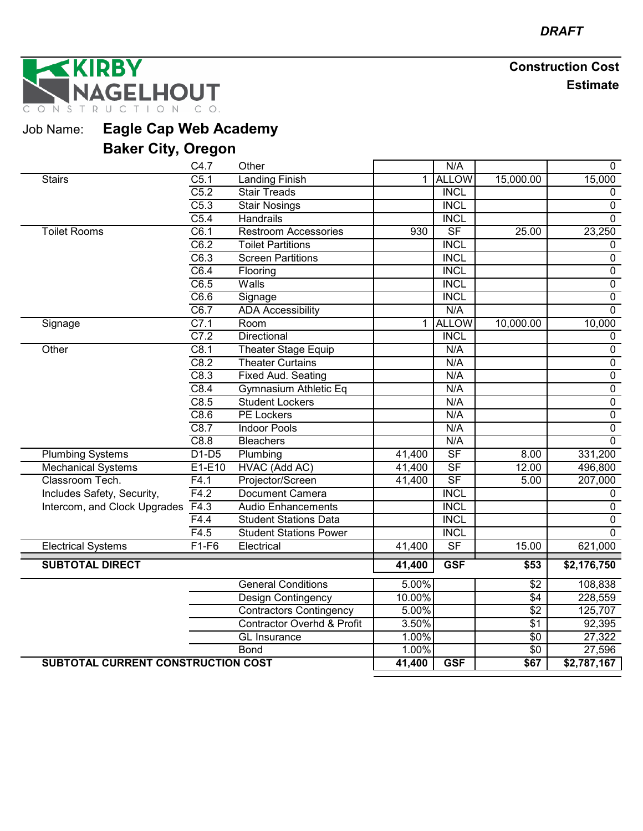**IRBY GELHOUT** TION CO. ONSTRU  $\mathsf C$ 

Job Name: **Eagle Cap Web Academy**

|                                           | C4.7              | Other                                 |             | N/A                      |                  | 0              |
|-------------------------------------------|-------------------|---------------------------------------|-------------|--------------------------|------------------|----------------|
| <b>Stairs</b>                             | $\overline{C5.1}$ | <b>Landing Finish</b>                 | 1           | <b>ALLOW</b>             | 15,000.00        | 15,000         |
|                                           | C5.2              | <b>Stair Treads</b>                   |             | <b>INCL</b>              |                  | $\mathbf 0$    |
|                                           | C5.3              | <b>Stair Nosings</b>                  |             | <b>INCL</b>              |                  | $\mathbf 0$    |
|                                           | $\overline{C5.4}$ | <b>Handrails</b>                      |             | <b>INCL</b>              |                  | $\mathbf 0$    |
| <b>Toilet Rooms</b>                       | C6.1              | <b>Restroom Accessories</b>           | 930         | $\overline{\mathsf{SF}}$ | 25.00            | 23,250         |
|                                           | C6.2              | <b>Toilet Partitions</b>              |             | <b>INCL</b>              |                  | 0              |
|                                           | $\overline{C6.3}$ | <b>Screen Partitions</b>              |             | <b>INCL</b>              |                  | $\mathbf 0$    |
|                                           | C6.4              | Flooring                              |             | <b>INCL</b>              |                  | 0              |
|                                           | C6.5              | Walls                                 |             | <b>INCL</b>              |                  | 0              |
|                                           | C6.6              | Signage                               |             | <b>INCL</b>              |                  | $\overline{0}$ |
|                                           | C6.7              | <b>ADA Accessibility</b>              |             | N/A                      |                  | $\overline{0}$ |
| Signage                                   | C7.1              | Room                                  | $\mathbf 1$ | <b>ALLOW</b>             | 10,000.00        | 10,000         |
|                                           | C7.2              | Directional                           |             | <b>INCL</b>              |                  | $\pmb{0}$      |
| Other                                     | C8.1              | <b>Theater Stage Equip</b>            |             | N/A                      |                  | $\overline{0}$ |
|                                           | C8.2              | <b>Theater Curtains</b>               |             | N/A                      |                  | $\overline{0}$ |
|                                           | C8.3              | <b>Fixed Aud. Seating</b>             |             | N/A                      |                  | $\overline{0}$ |
|                                           | C8.4              | Gymnasium Athletic Eq                 |             | N/A                      |                  | $\overline{0}$ |
|                                           | C8.5              | <b>Student Lockers</b>                |             | N/A                      |                  | $\overline{0}$ |
|                                           | C8.6              | <b>PE Lockers</b>                     |             | N/A                      |                  | $\overline{0}$ |
|                                           | C8.7              | <b>Indoor Pools</b>                   |             | N/A                      |                  | $\overline{0}$ |
|                                           | C8.8              | <b>Bleachers</b>                      |             | N/A                      |                  | $\mathbf 0$    |
| <b>Plumbing Systems</b>                   | $D1-D5$           | Plumbing                              | 41,400      | $S$ F                    | 8.00             | 331,200        |
| <b>Mechanical Systems</b>                 | E1-E10            | HVAC (Add AC)                         | 41,400      | $S$ F                    | 12.00            | 496,800        |
| Classroom Tech.                           | F4.1              | Projector/Screen                      | 41,400      | $\overline{\mathsf{SF}}$ | 5.00             | 207,000        |
| Includes Safety, Security,                | F4.2              | <b>Document Camera</b>                |             | <b>INCL</b>              |                  | 0              |
| Intercom, and Clock Upgrades              | F4.3              | <b>Audio Enhancements</b>             |             | <b>INCL</b>              |                  | 0              |
|                                           | F4.4              | <b>Student Stations Data</b>          |             | <b>INCL</b>              |                  | $\overline{0}$ |
|                                           | F4.5              | <b>Student Stations Power</b>         |             | <b>INCL</b>              |                  | $\mathbf 0$    |
| <b>Electrical Systems</b>                 | $F1-F6$           | Electrical                            | 41,400      | $\overline{\mathsf{SF}}$ | 15.00            | 621,000        |
| <b>SUBTOTAL DIRECT</b>                    |                   |                                       | 41,400      | <b>GSF</b>               | \$53             | \$2,176,750    |
|                                           |                   |                                       |             |                          |                  |                |
|                                           |                   | <b>General Conditions</b>             | 5.00%       |                          | $\sqrt{2}$       | 108,838        |
|                                           |                   | <b>Design Contingency</b>             | 10.00%      |                          | $\sqrt{4}$       | 228,559        |
|                                           |                   | <b>Contractors Contingency</b>        | 5.00%       |                          | $\overline{$2$}$ | 125,707        |
|                                           |                   | <b>Contractor Overhd &amp; Profit</b> | 3.50%       |                          | $\overline{$1}$  | 92,395         |
|                                           |                   | <b>GL</b> Insurance                   | 1.00%       |                          | \$0              | 27,322         |
|                                           |                   | <b>Bond</b>                           | 1.00%       |                          | $\overline{50}$  | 27,596         |
| <b>SUBTOTAL CURRENT CONSTRUCTION COST</b> |                   |                                       | 41,400      | <b>GSF</b>               | \$67             | \$2,787,167    |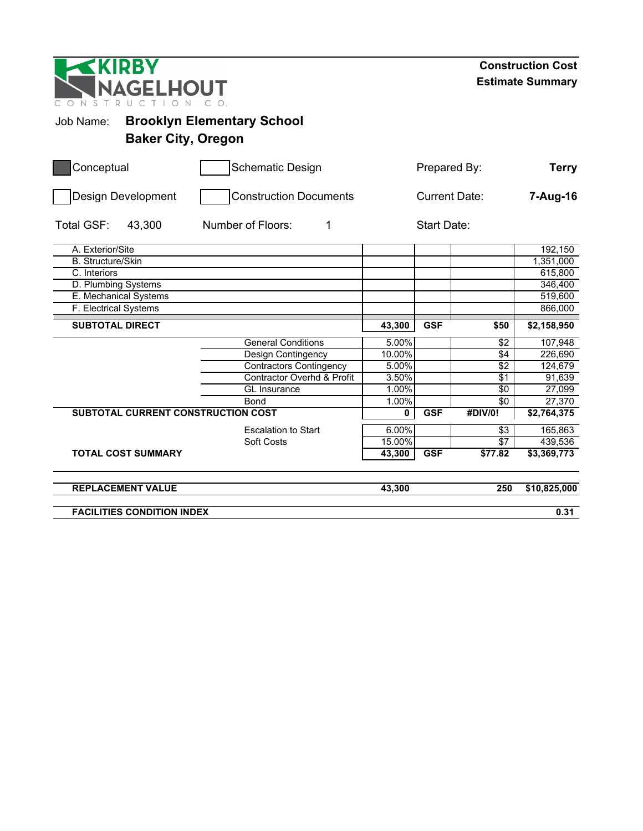| <b>KIRBY</b><br><b>NAGELHOUT</b><br>CONST |                           |                                   |   |        |                    |                      | <b>Construction Cost</b><br><b>Estimate Summary</b> |
|-------------------------------------------|---------------------------|-----------------------------------|---|--------|--------------------|----------------------|-----------------------------------------------------|
| Job Name:                                 |                           | <b>Brooklyn Elementary School</b> |   |        |                    |                      |                                                     |
|                                           | <b>Baker City, Oregon</b> |                                   |   |        |                    |                      |                                                     |
| Conceptual                                |                           | <b>Schematic Design</b>           |   |        | Prepared By:       |                      | <b>Terry</b>                                        |
| Design Development                        |                           | <b>Construction Documents</b>     |   |        |                    | <b>Current Date:</b> | 7-Aug-16                                            |
| <b>Total GSF:</b><br>43,300               |                           | Number of Floors:                 | 1 |        | <b>Start Date:</b> |                      |                                                     |
| A. Exterior/Site                          |                           |                                   |   |        |                    |                      | 192,150                                             |
| <b>B.</b> Structure/Skin                  |                           |                                   |   |        |                    |                      | 1,351,000                                           |
| C. Interiors                              |                           |                                   |   |        |                    |                      | 615,800                                             |
| D. Plumbing Systems                       |                           |                                   |   |        |                    |                      | 346,400                                             |
| E. Mechanical Systems                     |                           |                                   |   |        |                    |                      | 519,600                                             |
| F. Electrical Systems                     |                           |                                   |   |        |                    |                      | 866,000                                             |
| <b>SUBTOTAL DIRECT</b>                    |                           |                                   |   | 43,300 | <b>GSF</b>         | \$50                 | \$2,158,950                                         |
|                                           |                           | <b>General Conditions</b>         |   | 5.00%  |                    | \$2                  | 107,948                                             |
|                                           |                           | Design Contingency                |   | 10.00% |                    | \$4                  | 226,690                                             |
|                                           |                           | <b>Contractors Contingency</b>    |   | 5.00%  |                    | $\overline{$}$       | 124,679                                             |
|                                           |                           | Contractor Overhd & Profit        |   | 3.50%  |                    | $\overline{\$1}$     | 91,639                                              |
|                                           |                           | GL Insurance                      |   | 1.00%  |                    | $\sqrt{6}$           | 27,099                                              |
|                                           |                           | Bond                              |   | 1.00%  |                    | \$0                  | 27,370                                              |
| SUBTOTAL CURRENT CONSTRUCTION COST        |                           |                                   |   | 0      | <b>GSF</b>         | #DIV/0!              | \$2,764,375                                         |
|                                           |                           | <b>Escalation to Start</b>        |   | 6.00%  |                    | $\sqrt{3}$           | 165,863                                             |
|                                           |                           | Soft Costs                        |   | 15.00% |                    | \$7                  | 439,536                                             |
| <b>TOTAL COST SUMMARY</b>                 |                           |                                   |   | 43,300 | <b>GSF</b>         | \$77.82              | \$3,369,773                                         |
| <b>REPLACEMENT VALUE</b>                  |                           |                                   |   | 43,300 |                    | 250                  | \$10,825,000                                        |
| <b>FACILITIES CONDITION INDEX</b>         |                           |                                   |   |        |                    |                      | 0.31                                                |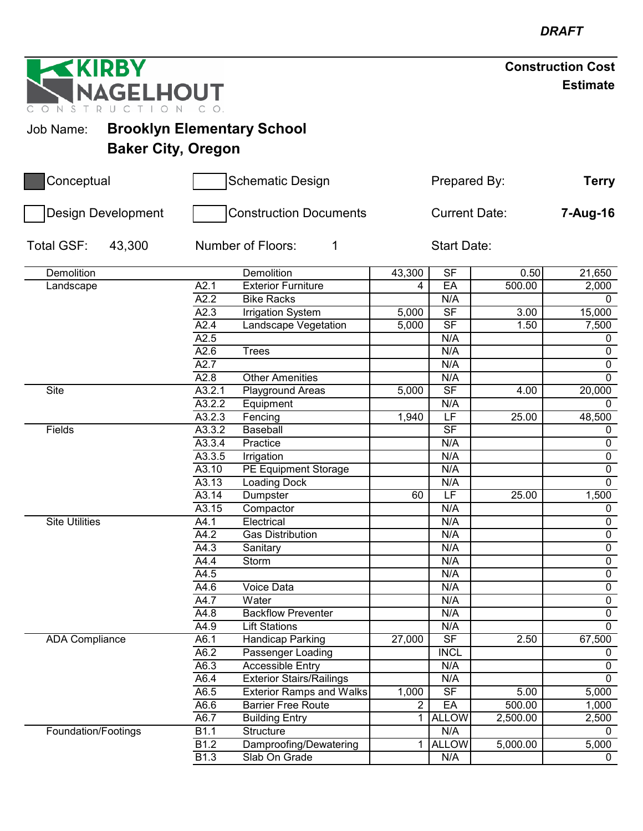| <b>Construction Cost</b> |                 |
|--------------------------|-----------------|
|                          | <b>Estimate</b> |

**GELHOUT** ONSTRUC

**RBY** 

# Job Name: **Brooklyn Elementary School Baker City, Oregon**

| Conceptual                | <b>Schematic Design</b><br><b>Construction Documents</b> |                                 |                | <b>Terry</b>             |          |                |
|---------------------------|----------------------------------------------------------|---------------------------------|----------------|--------------------------|----------|----------------|
| <b>Design Development</b> |                                                          |                                 |                | <b>Current Date:</b>     |          |                |
| Total GSF:<br>43,300      |                                                          | Number of Floors:<br>1          |                | <b>Start Date:</b>       |          |                |
| <b>Demolition</b>         |                                                          | Demolition                      | 43,300         | $\overline{\mathsf{SF}}$ | 0.50     | 21,650         |
| Landscape                 | A2.1                                                     | <b>Exterior Furniture</b>       | 4              | EA                       | 500.00   | 2,000          |
|                           | A2.2                                                     | <b>Bike Racks</b>               |                | N/A                      |          | $\mathbf 0$    |
|                           | A2.3                                                     | <b>Irrigation System</b>        | 5,000          | $\overline{\mathsf{SF}}$ | 3.00     | 15,000         |
|                           | A2.4                                                     | Landscape Vegetation            | 5,000          | $\overline{\mathsf{SF}}$ | 1.50     | 7,500          |
|                           | A2.5                                                     |                                 |                | N/A                      |          | 0              |
|                           | A2.6                                                     | <b>Trees</b>                    |                | N/A                      |          | $\overline{0}$ |
|                           | A2.7                                                     |                                 |                | N/A                      |          | $\overline{0}$ |
|                           | A2.8                                                     | <b>Other Amenities</b>          |                | N/A                      |          | $\overline{0}$ |
| <b>Site</b>               | A3.2.1                                                   | Playground Areas                | 5,000          | SF                       | 4.00     | 20,000         |
|                           | A3.2.2                                                   | Equipment                       |                | N/A                      |          | $\Omega$       |
|                           | A3.2.3                                                   | Fencing                         | 1,940          | LF                       | 25.00    | 48,500         |
| Fields                    | A3.3.2                                                   | <b>Baseball</b>                 |                | $\overline{\mathsf{SF}}$ |          | $\mathbf 0$    |
|                           | A3.3.4                                                   | Practice                        |                | N/A                      |          | $\pmb{0}$      |
|                           | A3.3.5                                                   | Irrigation                      |                | N/A                      |          | $\overline{0}$ |
|                           | A3.10                                                    | PE Equipment Storage            |                | N/A                      |          | $\overline{0}$ |
|                           | $\overline{A3.13}$                                       | <b>Loading Dock</b>             |                | N/A                      |          | $\overline{0}$ |
|                           | A3.14                                                    | Dumpster                        | 60             | $\overline{\mathsf{LF}}$ | 25.00    | 1,500          |
|                           | A3.15                                                    | Compactor                       |                | N/A                      |          | $\mathbf 0$    |
| <b>Site Utilities</b>     | A4.1                                                     | Electrical                      |                | N/A                      |          | $\mathbf 0$    |
|                           | A4.2                                                     | <b>Gas Distribution</b>         |                | N/A                      |          | $\overline{0}$ |
|                           | A4.3                                                     | Sanitary                        |                | N/A                      |          | $\pmb{0}$      |
|                           | A4.4                                                     | Storm                           |                | N/A                      |          | $\overline{0}$ |
|                           | A4.5                                                     |                                 |                | N/A                      |          | $\overline{0}$ |
|                           | A4.6                                                     | Voice Data                      |                | N/A                      |          | $\overline{0}$ |
|                           | A4.7                                                     | Water                           |                | N/A                      |          | $\overline{0}$ |
|                           | A4.8                                                     | <b>Backflow Preventer</b>       |                | N/A                      |          | $\overline{0}$ |
|                           | A4.9                                                     | <b>Lift Stations</b>            |                | N/A                      |          | $\overline{0}$ |
| <b>ADA Compliance</b>     | A6.1                                                     | <b>Handicap Parking</b>         | 27,000         | <b>SF</b>                | 2.50     | 67,500         |
|                           | A6.2                                                     | Passenger Loading               |                | <b>INCL</b>              |          | $\mathbf 0$    |
|                           | A6.3                                                     | <b>Accessible Entry</b>         |                | N/A                      |          | $\mathbf 0$    |
|                           | A6.4                                                     | <b>Exterior Stairs/Railings</b> |                | N/A                      |          | $\overline{0}$ |
|                           | A6.5                                                     | <b>Exterior Ramps and Walks</b> | 1,000          | $\overline{\mathsf{SF}}$ | 5.00     | 5,000          |
|                           | A6.6                                                     | <b>Barrier Free Route</b>       | $\overline{2}$ | EA                       | 500.00   | 1,000          |
|                           | A6.7                                                     | <b>Building Entry</b>           |                | <b>ALLOW</b>             | 2,500.00 | 2,500          |
| Foundation/Footings       | B1.1                                                     | Structure                       |                | N/A                      |          | 0              |
|                           | B1.2                                                     | Damproofing/Dewatering          |                | <b>ALLOW</b>             | 5,000.00 | 5,000          |
|                           | B <sub>1.3</sub>                                         | Slab On Grade                   |                | N/A                      |          | $\mathbf 0$    |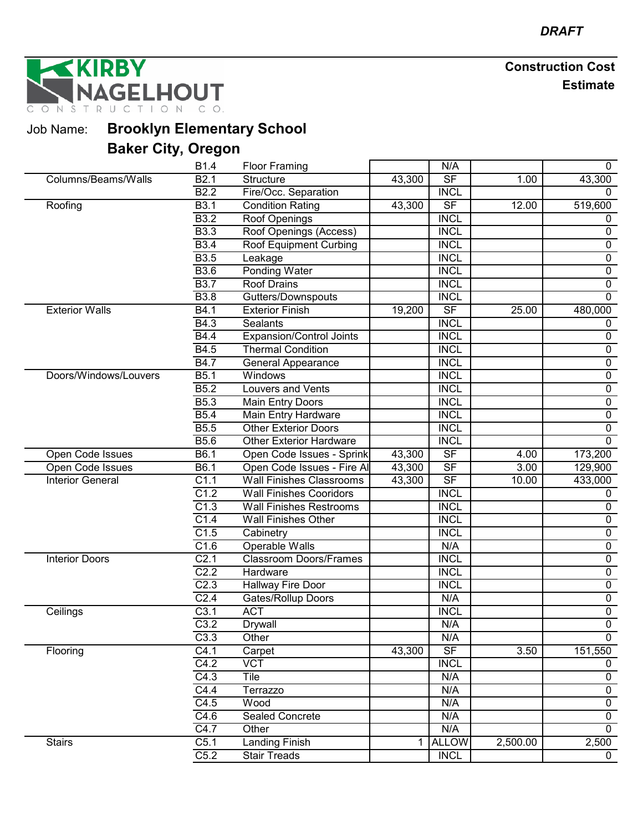RBY **GELHOUT** TION CO. NSTRUC

Job Name: **Brooklyn Elementary School**

|                         | B <sub>1.4</sub>  | <b>Floor Framing</b>            |        | N/A                      |          | 0              |
|-------------------------|-------------------|---------------------------------|--------|--------------------------|----------|----------------|
| Columns/Beams/Walls     | B2.1              | <b>Structure</b>                | 43,300 | S <sub>F</sub>           | 1.00     | 43,300         |
|                         | B2.2              | Fire/Occ. Separation            |        | <b>INCL</b>              |          | 0              |
| Roofing                 | <b>B3.1</b>       | <b>Condition Rating</b>         | 43,300 | $\overline{\mathsf{SF}}$ | 12.00    | 519,600        |
|                         | <b>B3.2</b>       | Roof Openings                   |        | <b>INCL</b>              |          | 0              |
|                         | B3.3              | Roof Openings (Access)          |        | <b>INCL</b>              |          | 0              |
|                         | <b>B3.4</b>       | Roof Equipment Curbing          |        | <b>INCL</b>              |          | $\mathbf 0$    |
|                         | <b>B3.5</b>       | Leakage                         |        | <b>INCL</b>              |          | 0              |
|                         | B3.6              | <b>Ponding Water</b>            |        | <b>INCL</b>              |          | 0              |
|                         | B3.7              | <b>Roof Drains</b>              |        | <b>INCL</b>              |          | 0              |
|                         | <b>B3.8</b>       | Gutters/Downspouts              |        | <b>INCL</b>              |          | $\mathbf{0}$   |
| <b>Exterior Walls</b>   | B4.1              | <b>Exterior Finish</b>          | 19,200 | SF                       | 25.00    | 480,000        |
|                         | B4.3              | <b>Sealants</b>                 |        | <b>INCL</b>              |          | 0              |
|                         | <b>B4.4</b>       | <b>Expansion/Control Joints</b> |        | <b>INCL</b>              |          | 0              |
|                         | B4.5              | <b>Thermal Condition</b>        |        | <b>INCL</b>              |          | $\pmb{0}$      |
|                         | B4.7              | General Appearance              |        | <b>INCL</b>              |          | $\pmb{0}$      |
| Doors/Windows/Louvers   | B5.1              | Windows                         |        | <b>INCL</b>              |          | 0              |
|                         | B5.2              | <b>Louvers and Vents</b>        |        | <b>INCL</b>              |          | 0              |
|                         | B <sub>5.3</sub>  | Main Entry Doors                |        | <b>INCL</b>              |          | 0              |
|                         | <b>B5.4</b>       | Main Entry Hardware             |        | <b>INCL</b>              |          | $\pmb{0}$      |
|                         | B5.5              | <b>Other Exterior Doors</b>     |        | <b>INCL</b>              |          | $\pmb{0}$      |
|                         | B5.6              | <b>Other Exterior Hardware</b>  |        | <b>INCL</b>              |          | $\mathbf 0$    |
| Open Code Issues        | B6.1              | Open Code Issues - Sprink       | 43,300 | S <sub>F</sub>           | 4.00     | 173,200        |
| Open Code Issues        | B6.1              | Open Code Issues - Fire Al      | 43,300 | SF                       | 3.00     | 129,900        |
| <b>Interior General</b> | C1.1              | <b>Wall Finishes Classrooms</b> | 43,300 | SF                       | 10.00    | 433,000        |
|                         | C1.2              | <b>Wall Finishes Cooridors</b>  |        | <b>INCL</b>              |          | 0              |
|                         | C1.3              | <b>Wall Finishes Restrooms</b>  |        | <b>INCL</b>              |          | $\mathbf 0$    |
|                         | C1.4              | <b>Wall Finishes Other</b>      |        | <b>INCL</b>              |          | $\pmb{0}$      |
|                         | C1.5              | Cabinetry                       |        | <b>INCL</b>              |          | 0              |
|                         | $\overline{C1.6}$ | <b>Operable Walls</b>           |        | N/A                      |          | $\overline{0}$ |
| <b>Interior Doors</b>   | C <sub>2.1</sub>  | <b>Classroom Doors/Frames</b>   |        | <b>INCL</b>              |          | 0              |
|                         | C <sub>2.2</sub>  | Hardware                        |        | <b>INCL</b>              |          | $\overline{0}$ |
|                         | C <sub>2.3</sub>  | Hallway Fire Door               |        | <b>INCL</b>              |          | $\pmb{0}$      |
|                         | C <sub>2.4</sub>  | Gates/Rollup Doors              |        | N/A                      |          | $\overline{0}$ |
| Ceilings                | C3.1              | <b>ACT</b>                      |        | <b>INCL</b>              |          | $\overline{0}$ |
|                         | C3.2              | Drywall                         |        | N/A                      |          | $\overline{0}$ |
|                         | C3.3              | Other                           |        | N/A                      |          | $\pmb{0}$      |
| Flooring                | $\overline{C4.1}$ | Carpet                          | 43,300 | $S$ F                    | 3.50     | 151,550        |
|                         | C4.2              | $\overline{VCT}$                |        | <b>INCL</b>              |          | 0              |
|                         | C4.3              | Tile                            |        | N/A                      |          | $\pmb{0}$      |
|                         | C4.4              | Terrazzo                        |        | N/A                      |          | $\overline{0}$ |
|                         | C4.5              | Wood                            |        | N/A                      |          | 0              |
|                         | C4.6              | Sealed Concrete                 |        | N/A                      |          | $\pmb{0}$      |
|                         | C4.7              | Other                           |        | N/A                      |          | $\overline{0}$ |
| <b>Stairs</b>           | C5.1              | Landing Finish                  | 1.     | <b>ALLOW</b>             | 2,500.00 | 2,500          |
|                         | C5.2              | <b>Stair Treads</b>             |        | <b>INCL</b>              |          | $\mathbf 0$    |
|                         |                   |                                 |        |                          |          |                |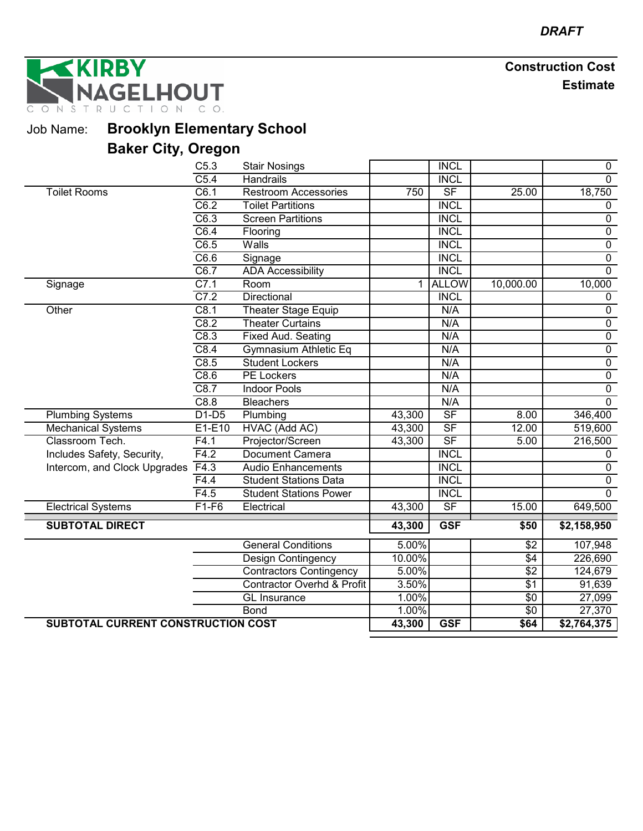**RBY** GELHOUT TION CO. N S T R U C

Job Name: **Brooklyn Elementary School**

|                                    | C5.3              | <b>Stair Nosings</b>                  |                | <b>INCL</b>              |                 | 0              |
|------------------------------------|-------------------|---------------------------------------|----------------|--------------------------|-----------------|----------------|
|                                    | C5.4              | <b>Handrails</b>                      |                | <b>INCL</b>              |                 | $\overline{0}$ |
| <b>Toilet Rooms</b>                | C6.1              | <b>Restroom Accessories</b>           | 750            | S <sub>F</sub>           | 25.00           | 18,750         |
|                                    | C6.2              | <b>Toilet Partitions</b>              |                | <b>INCL</b>              |                 | 0              |
|                                    | $\overline{C6.3}$ | <b>Screen Partitions</b>              |                | <b>INCL</b>              |                 | $\overline{0}$ |
|                                    | C6.4              | Flooring                              |                | <b>INCL</b>              |                 | $\overline{0}$ |
|                                    | $\overline{C6.5}$ | Walls                                 |                | <b>INCL</b>              |                 | $\overline{0}$ |
|                                    | $\overline{C6.6}$ | Signage                               |                | <b>INCL</b>              |                 | $\pmb{0}$      |
|                                    | C6.7              | <b>ADA Accessibility</b>              |                | <b>INCL</b>              |                 | $\overline{0}$ |
| Signage                            | C7.1              | Room                                  | 1 <sup>1</sup> | <b>ALLOW</b>             | 10,000.00       | 10,000         |
|                                    | C7.2              | Directional                           |                | <b>INCL</b>              |                 | $\mathbf 0$    |
| Other                              | C8.1              | Theater Stage Equip                   |                | N/A                      |                 | $\overline{0}$ |
|                                    | C8.2              | <b>Theater Curtains</b>               |                | N/A                      |                 | $\overline{0}$ |
|                                    | C8.3              | <b>Fixed Aud. Seating</b>             |                | N/A                      |                 | $\overline{0}$ |
|                                    | C8.4              | Gymnasium Athletic Eq                 |                | N/A                      |                 | $\pmb{0}$      |
|                                    | C8.5              | <b>Student Lockers</b>                |                | N/A                      |                 | $\overline{0}$ |
|                                    | C8.6              | PE Lockers                            |                | N/A                      |                 | $\pmb{0}$      |
|                                    | C8.7              | <b>Indoor Pools</b>                   |                | N/A                      |                 | $\overline{0}$ |
|                                    | C8.8              | <b>Bleachers</b>                      |                | N/A                      |                 | $\overline{0}$ |
| <b>Plumbing Systems</b>            | $D1-D5$           | Plumbing                              | 43,300         | S <sub>F</sub>           | 8.00            | 346,400        |
| Mechanical Systems                 | E1-E10            | HVAC (Add AC)                         | 43,300         | S <sub>F</sub>           | 12.00           | 519,600        |
| Classroom Tech.                    | F4.1              | Projector/Screen                      | 43,300         | $\overline{\mathsf{SF}}$ | 5.00            | 216,500        |
| Includes Safety, Security,         | F4.2              | <b>Document Camera</b>                |                | <b>INCL</b>              |                 | $\mathbf{0}$   |
| Intercom, and Clock Upgrades       | F4.3              | <b>Audio Enhancements</b>             |                | <b>INCL</b>              |                 | $\overline{0}$ |
|                                    | F4.4              | <b>Student Stations Data</b>          |                | <b>INCL</b>              |                 | $\overline{0}$ |
|                                    | $\overline{F4.5}$ | <b>Student Stations Power</b>         |                | <b>INCL</b>              |                 | $\Omega$       |
| <b>Electrical Systems</b>          | $F1-F6$           | Electrical                            | 43,300         | $S$ F                    | 15.00           | 649,500        |
| <b>SUBTOTAL DIRECT</b>             |                   |                                       | 43,300         | <b>GSF</b>               | \$50            | \$2,158,950    |
|                                    |                   |                                       |                |                          |                 |                |
|                                    |                   | <b>General Conditions</b>             | 5.00%          |                          | $\sqrt{$2$}$    | 107,948        |
|                                    |                   | Design Contingency                    | 10.00%         |                          | $\sqrt{4}$      | 226,690        |
|                                    |                   | <b>Contractors Contingency</b>        | 5.00%          |                          | $\sqrt{$2}$     | 124,679        |
|                                    |                   | <b>Contractor Overhd &amp; Profit</b> | 3.50%          |                          | $\sqrt{$1}$     | 91,639         |
|                                    |                   | <b>GL</b> Insurance                   | 1.00%          |                          | $\sqrt{6}$      | 27,099         |
|                                    |                   | <b>Bond</b>                           | 1.00%          |                          | $\overline{50}$ | 27,370         |
| SUBTOTAL CURRENT CONSTRUCTION COST |                   |                                       | 43,300         | <b>GSF</b>               | \$64            | \$2,764,375    |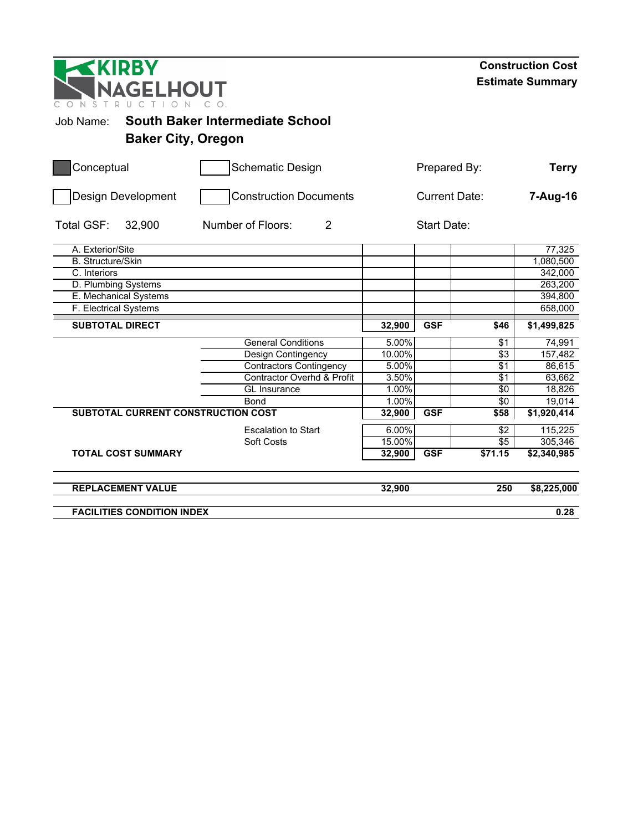| <b>EKIRBY</b><br>NAGELHOUT<br>S        |                                     |        |                    |                      | <b>Construction Cost</b><br><b>Estimate Summary</b> |
|----------------------------------------|-------------------------------------|--------|--------------------|----------------------|-----------------------------------------------------|
| Job Name:<br><b>Baker City, Oregon</b> | South Baker Intermediate School     |        |                    |                      |                                                     |
| Conceptual                             | <b>Schematic Design</b>             |        | Prepared By:       |                      | <b>Terry</b>                                        |
| Design Development                     | <b>Construction Documents</b>       |        |                    | <b>Current Date:</b> | 7-Aug-16                                            |
| Total GSF:<br>32,900                   | $\overline{2}$<br>Number of Floors: |        | <b>Start Date:</b> |                      |                                                     |
| A. Exterior/Site                       |                                     |        |                    |                      | 77,325                                              |
| <b>B.</b> Structure/Skin               |                                     |        |                    |                      | 1,080,500                                           |
| C. Interiors                           |                                     |        |                    |                      | 342,000                                             |
| D. Plumbing Systems                    |                                     |        |                    |                      | 263,200                                             |
| E. Mechanical Systems                  |                                     |        |                    |                      | 394,800                                             |
| F. Electrical Systems                  |                                     |        |                    |                      | 658,000                                             |
| <b>SUBTOTAL DIRECT</b>                 |                                     | 32,900 | <b>GSF</b>         | \$46                 | \$1,499,825                                         |
|                                        | <b>General Conditions</b>           | 5.00%  |                    | \$1                  | 74,991                                              |
|                                        | Design Contingency                  | 10.00% |                    | \$3                  | 157,482                                             |
|                                        | <b>Contractors Contingency</b>      | 5.00%  |                    | \$1                  | 86,615                                              |
|                                        | Contractor Overhd & Profit          | 3.50%  |                    | \$1                  | 63,662                                              |
|                                        | <b>GL</b> Insurance                 | 1.00%  |                    | \$0                  | 18,826                                              |
|                                        | <b>Bond</b>                         | 1.00%  |                    | $\sqrt{6}$           | 19,014                                              |
| SUBTOTAL CURRENT CONSTRUCTION COST     |                                     | 32,900 | <b>GSF</b>         | \$58                 | \$1,920,414                                         |
|                                        | <b>Escalation to Start</b>          | 6.00%  |                    | \$2                  | 115,225                                             |
|                                        | Soft Costs                          | 15.00% |                    | \$5                  | 305,346                                             |
| <b>TOTAL COST SUMMARY</b>              |                                     | 32,900 | <b>GSF</b>         | \$71.15              | $\overline{2,}340,985$                              |
| <b>REPLACEMENT VALUE</b>               |                                     | 32,900 |                    | 250                  | \$8,225,000                                         |
| <b>FACILITIES CONDITION INDEX</b>      |                                     |        |                    |                      | 0.28                                                |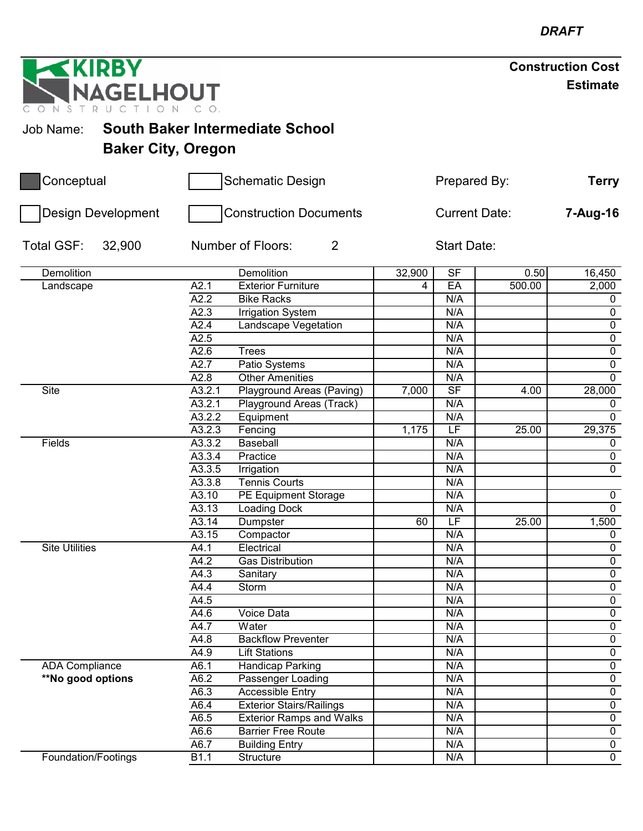| <b>EKIRBY</b>                            | <b>Construction Cost</b>                |                |                      |        |                  |
|------------------------------------------|-----------------------------------------|----------------|----------------------|--------|------------------|
| NAGELHOUT<br>N<br>S<br>т<br>$\mathsf{R}$ |                                         |                |                      |        | <b>Estimate</b>  |
| Job Name:                                | South Baker Intermediate School         |                |                      |        |                  |
|                                          | <b>Baker City, Oregon</b>               |                |                      |        |                  |
| Conceptual                               | <b>Schematic Design</b>                 |                | Prepared By:         |        | <b>Terry</b>     |
| Design Development                       | <b>Construction Documents</b>           |                | <b>Current Date:</b> |        | 7-Aug-16         |
| Total GSF:<br>32,900                     | $\overline{2}$<br>Number of Floors:     |                | <b>Start Date:</b>   |        |                  |
| Demolition                               | Demolition                              | 32,900         | S <sub>F</sub>       | 0.50   | 16,450           |
| Landscape                                | A2.1<br><b>Exterior Furniture</b>       | $\overline{4}$ | EA                   | 500.00 | 2,000            |
|                                          | A2.2<br><b>Bike Racks</b>               |                | N/A                  |        | $\mathbf 0$      |
|                                          | A2.3<br><b>Irrigation System</b>        |                | N/A                  |        | $\mathbf 0$      |
|                                          | A2.4<br><b>Landscape Vegetation</b>     |                | N/A                  |        | 0                |
|                                          | A2.5                                    |                | N/A                  |        | $\pmb{0}$        |
|                                          | A2.6<br><b>Trees</b>                    |                | N/A                  |        | $\overline{0}$   |
|                                          | A2.7<br>Patio Systems                   |                | N/A                  |        | $\overline{0}$   |
|                                          | A2.8<br><b>Other Amenities</b>          |                | N/A                  |        | $\mathbf 0$      |
| <b>Site</b>                              | A3.2.1<br>Playground Areas (Paving)     | 7,000          | S <sub>F</sub>       | 4.00   | 28,000           |
|                                          | A3.2.1<br>Playground Areas (Track)      |                | N/A                  |        | 0                |
|                                          | A3.2.2<br>Equipment                     |                | N/A                  |        | $\mathbf 0$      |
|                                          | A3.2.3<br>Fencing                       | 1,175          | LF                   | 25.00  | 29,375           |
| Fields                                   | A3.3.2<br>Baseball                      |                | N/A                  |        | $\mathbf 0$      |
|                                          | A3.3.4<br>Practice                      |                | N/A                  |        | 0                |
|                                          | A3.3.5<br>Irrigation                    |                | N/A                  |        | 0                |
|                                          | A3.3.8<br><b>Tennis Courts</b>          |                | N/A                  |        |                  |
|                                          | A3.10<br>PE Equipment Storage           |                | N/A                  |        | $\boldsymbol{0}$ |
|                                          | A3.13<br><b>Loading Dock</b>            |                | N/A                  |        | $\overline{0}$   |
|                                          | A3.14<br>Dumpster                       | 60             | LF                   | 25.00  | 1,500            |
|                                          | $\overline{A3.15}$<br>Compactor         |                | N/A                  |        | $\overline{0}$   |
| <b>Site Utilities</b>                    | Electrical<br>A4.1                      |                | N/A                  |        | $\mathbf 0$      |
|                                          | A4.2<br><b>Gas Distribution</b>         |                | N/A                  |        | $\mathbf 0$      |
|                                          | A4.3<br>Sanitary                        |                | N/A                  |        | $\overline{0}$   |
|                                          | A4.4<br>Storm                           |                | N/A                  |        | $\mathbf 0$      |
|                                          | A4.5                                    |                | N/A                  |        | 0                |
|                                          | A4.6<br><b>Voice Data</b>               |                | N/A                  |        | 0                |
|                                          | A4.7<br>Water                           |                | N/A                  |        | $\mathbf 0$      |
|                                          | A4.8<br><b>Backflow Preventer</b>       |                | N/A                  |        | $\mathbf 0$      |
|                                          | A4.9<br><b>Lift Stations</b>            |                | N/A                  |        | $\overline{0}$   |
| <b>ADA Compliance</b>                    | A6.1<br>Handicap Parking                |                | N/A                  |        | $\mathbf 0$      |
| **No good options                        | A6.2<br>Passenger Loading               |                | N/A                  |        | $\overline{0}$   |
|                                          | A6.3<br><b>Accessible Entry</b>         |                | N/A                  |        | $\overline{0}$   |
|                                          | A6.4<br><b>Exterior Stairs/Railings</b> |                | N/A                  |        | $\overline{0}$   |
|                                          | A6.5<br><b>Exterior Ramps and Walks</b> |                | N/A                  |        | $\overline{0}$   |
|                                          | A6.6<br><b>Barrier Free Route</b>       |                | N/A                  |        | $\mathbf 0$      |
|                                          | A6.7<br><b>Building Entry</b>           |                | N/A                  |        | $\mathbf 0$      |
| Foundation/Footings                      | $\overline{B1.1}$<br>Structure          |                | N/A                  |        | $\overline{0}$   |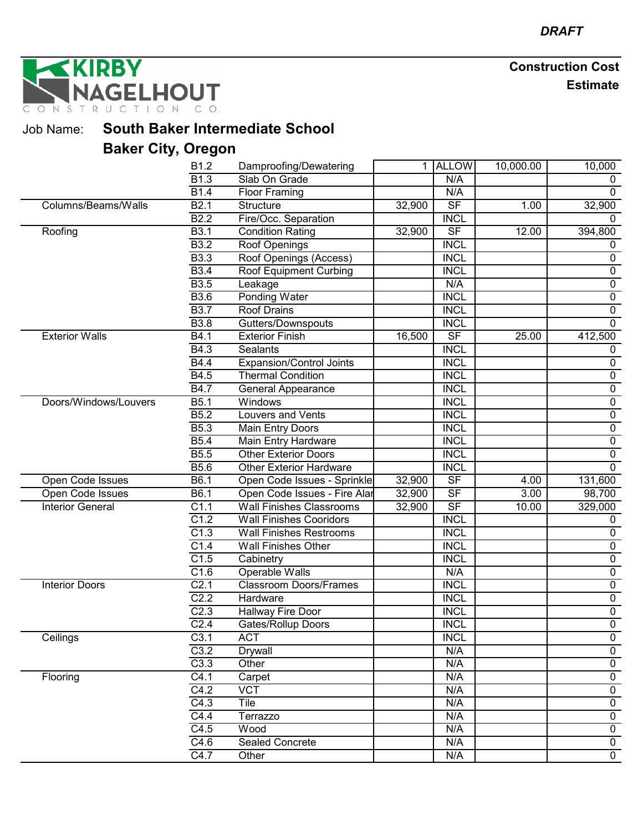**IRBY GELHOUT** T R  $\mathbb N$ S

Job Name: **South Baker Intermediate School**

|                         | B1.2              | Damproofing/Dewatering          | 1.     | <b>ALLOW</b>             | 10,000.00 | 10,000           |
|-------------------------|-------------------|---------------------------------|--------|--------------------------|-----------|------------------|
|                         | B <sub>1.3</sub>  | Slab On Grade                   |        | N/A                      |           |                  |
|                         | <b>B1.4</b>       | <b>Floor Framing</b>            |        | N/A                      |           | 0                |
| Columns/Beams/Walls     | B <sub>2.1</sub>  | Structure                       | 32,900 | $\overline{\mathsf{SF}}$ | 1.00      | 32,900           |
|                         | B2.2              | Fire/Occ. Separation            |        | <b>INCL</b>              |           | $\Omega$         |
| Roofing                 | B3.1              | <b>Condition Rating</b>         | 32,900 | SF                       | 12.00     | 394,800          |
|                         | <b>B3.2</b>       | Roof Openings                   |        | <b>INCL</b>              |           | 0                |
|                         | <b>B3.3</b>       | Roof Openings (Access)          |        | <b>INCL</b>              |           | $\pmb{0}$        |
|                         | <b>B3.4</b>       | Roof Equipment Curbing          |        | <b>INCL</b>              |           | $\mathbf 0$      |
|                         | <b>B3.5</b>       | Leakage                         |        | N/A                      |           | $\overline{0}$   |
|                         | <b>B3.6</b>       | <b>Ponding Water</b>            |        | <b>INCL</b>              |           | $\mathbf 0$      |
|                         | <b>B3.7</b>       | <b>Roof Drains</b>              |        | <b>INCL</b>              |           | $\mathbf 0$      |
|                         | <b>B3.8</b>       | Gutters/Downspouts              |        | <b>INCL</b>              |           | $\overline{0}$   |
| <b>Exterior Walls</b>   | B4.1              | <b>Exterior Finish</b>          | 16,500 | SF                       | 25.00     | 412,500          |
|                         | B4.3              | <b>Sealants</b>                 |        | <b>INCL</b>              |           | $\mathbf 0$      |
|                         | <b>B4.4</b>       | <b>Expansion/Control Joints</b> |        | <b>INCL</b>              |           | $\mathbf 0$      |
|                         | B4.5              | <b>Thermal Condition</b>        |        | <b>INCL</b>              |           | 0                |
|                         | <b>B4.7</b>       | <b>General Appearance</b>       |        | <b>INCL</b>              |           | $\overline{0}$   |
| Doors/Windows/Louvers   | $\overline{B5.1}$ | Windows                         |        | <b>INCL</b>              |           | $\overline{0}$   |
|                         | B5.2              | <b>Louvers and Vents</b>        |        | <b>INCL</b>              |           | $\overline{0}$   |
|                         | <b>B5.3</b>       | <b>Main Entry Doors</b>         |        | <b>INCL</b>              |           | $\overline{0}$   |
|                         | <b>B5.4</b>       | Main Entry Hardware             |        | <b>INCL</b>              |           | $\pmb{0}$        |
|                         | <b>B5.5</b>       | <b>Other Exterior Doors</b>     |        | <b>INCL</b>              |           | $\mathbf 0$      |
|                         | <b>B5.6</b>       | <b>Other Exterior Hardware</b>  |        | <b>INCL</b>              |           | $\overline{0}$   |
| Open Code Issues        | $\overline{B6.1}$ | Open Code Issues - Sprinkle     | 32,900 | $S$ F                    | 4.00      | 131,600          |
| Open Code Issues        | $\overline{B6.1}$ | Open Code Issues - Fire Alar    | 32,900 | SF                       | 3.00      | 98,700           |
| <b>Interior General</b> | $\overline{C1.1}$ | <b>Wall Finishes Classrooms</b> | 32,900 | SF                       | 10.00     | 329,000          |
|                         | C1.2              | <b>Wall Finishes Cooridors</b>  |        | <b>INCL</b>              |           | 0                |
|                         | C1.3              | <b>Wall Finishes Restrooms</b>  |        | <b>INCL</b>              |           | $\pmb{0}$        |
|                         | C1.4              | <b>Wall Finishes Other</b>      |        | <b>INCL</b>              |           | $\mathbf 0$      |
|                         | C1.5              | Cabinetry                       |        | <b>INCL</b>              |           | $\mathbf 0$      |
|                         | C1.6              | <b>Operable Walls</b>           |        | N/A                      |           | $\overline{0}$   |
| <b>Interior Doors</b>   | C <sub>2.1</sub>  | Classroom Doors/Frames          |        | <b>INCL</b>              |           | $\pmb{0}$        |
|                         | C <sub>2.2</sub>  | Hardware                        |        | <b>INCL</b>              |           | $\pmb{0}$        |
|                         | C <sub>2.3</sub>  | Hallway Fire Door               |        | <b>INCL</b>              |           | $\overline{0}$   |
|                         | C <sub>2.4</sub>  | Gates/Rollup Doors              |        | <b>INCL</b>              |           | $\mathbf 0$      |
| Ceilings                | C3.1              | <b>ACT</b>                      |        | <b>INCL</b>              |           | $\boldsymbol{0}$ |
|                         | C3.2              | Drywall                         |        | N/A                      |           | $\overline{0}$   |
|                         | C3.3              | Other                           |        | N/A                      |           | $\mathbf 0$      |
| Flooring                | C4.1              | Carpet                          |        | N/A                      |           | 0                |
|                         | C4.2              | <b>VCT</b>                      |        | N/A                      |           | $\mathbf 0$      |
|                         | C4.3              | Tile                            |        | N/A                      |           | $\mathbf 0$      |
|                         | C4.4              | Terrazzo                        |        | N/A                      |           | $\mathbf 0$      |
|                         | $\overline{C4.5}$ | Wood                            |        | N/A                      |           | $\overline{0}$   |
|                         | C4.6              | <b>Sealed Concrete</b>          |        | N/A                      |           | $\overline{0}$   |
|                         | C4.7              | Other                           |        | N/A                      |           | $\overline{0}$   |
|                         |                   |                                 |        |                          |           |                  |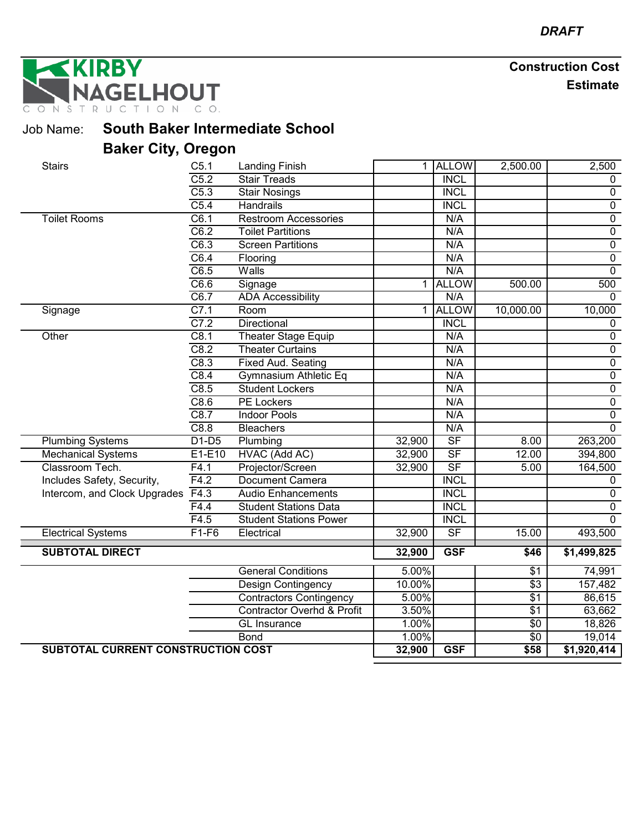**KIRBY GELHOUT** ONSTRU

Job Name: **South Baker Intermediate School**

| <b>Stairs</b>                      | C5.1              | <b>Landing Finish</b>                 |             | 1 ALLOW                  | 2,500.00        | 2,500          |
|------------------------------------|-------------------|---------------------------------------|-------------|--------------------------|-----------------|----------------|
|                                    | C5.2              | <b>Stair Treads</b>                   |             | <b>INCL</b>              |                 | 0              |
|                                    | C5.3              | <b>Stair Nosings</b>                  |             | <b>INCL</b>              |                 | $\overline{0}$ |
|                                    | C5.4              | <b>Handrails</b>                      |             | <b>INCL</b>              |                 | $\overline{0}$ |
| <b>Toilet Rooms</b>                | C6.1              | <b>Restroom Accessories</b>           |             | N/A                      |                 | $\overline{0}$ |
|                                    | C6.2              | <b>Toilet Partitions</b>              |             | N/A                      |                 | $\overline{0}$ |
|                                    | C6.3              | <b>Screen Partitions</b>              |             | N/A                      |                 | $\overline{0}$ |
|                                    | C6.4              | Flooring                              |             | N/A                      |                 | $\overline{0}$ |
|                                    | $\overline{C6.5}$ | Walls                                 |             | N/A                      |                 | $\overline{0}$ |
|                                    | C6.6              | Signage                               | 1           | <b>ALLOW</b>             | 500.00          | 500            |
|                                    | C6.7              | <b>ADA Accessibility</b>              |             | N/A                      |                 | $\mathbf{0}$   |
| Signage                            | C7.1              | Room                                  | $\mathbf 1$ | <b>ALLOW</b>             | 10,000.00       | 10,000         |
|                                    | C7.2              | Directional                           |             | <b>INCL</b>              |                 | 0              |
| Other                              | C8.1              | <b>Theater Stage Equip</b>            |             | N/A                      |                 | $\overline{0}$ |
|                                    | C8.2              | <b>Theater Curtains</b>               |             | N/A                      |                 | $\pmb{0}$      |
|                                    | C8.3              | <b>Fixed Aud. Seating</b>             |             | N/A                      |                 | $\overline{0}$ |
|                                    | C8.4              | Gymnasium Athletic Eq                 |             | N/A                      |                 | $\overline{0}$ |
|                                    | C8.5              | <b>Student Lockers</b>                |             | N/A                      |                 | $\overline{0}$ |
|                                    | C8.6              | <b>PE Lockers</b>                     |             | N/A                      |                 | $\overline{0}$ |
|                                    | C8.7              | <b>Indoor Pools</b>                   |             | N/A                      |                 | $\overline{0}$ |
|                                    | C8.8              | <b>Bleachers</b>                      |             | N/A                      |                 | $\overline{0}$ |
| <b>Plumbing Systems</b>            | $D1-D5$           | Plumbing                              | 32,900      | $\overline{\mathsf{SF}}$ | 8.00            | 263,200        |
| <b>Mechanical Systems</b>          | E1-E10            | <b>HVAC (Add AC)</b>                  | 32,900      | $\overline{\mathsf{SF}}$ | 12.00           | 394,800        |
| Classroom Tech.                    | F4.1              | Projector/Screen                      | 32,900      | $\overline{\mathsf{SF}}$ | 5.00            | 164,500        |
| Includes Safety, Security,         | F4.2              | <b>Document Camera</b>                |             | <b>INCL</b>              |                 | 0              |
| Intercom, and Clock Upgrades       | F4.3              | <b>Audio Enhancements</b>             |             | <b>INCL</b>              |                 | 0              |
|                                    | F4.4              | <b>Student Stations Data</b>          |             | <b>INCL</b>              |                 | $\overline{0}$ |
|                                    | F4.5              | <b>Student Stations Power</b>         |             | <b>INCL</b>              |                 | $\Omega$       |
| <b>Electrical Systems</b>          | $F1-F6$           | Electrical                            | 32,900      | $\overline{\mathsf{SF}}$ | 15.00           | 493,500        |
| <b>SUBTOTAL DIRECT</b>             |                   |                                       | 32,900      | <b>GSF</b>               | \$46            | \$1,499,825    |
|                                    |                   | <b>General Conditions</b>             | 5.00%       |                          | \$1             | 74,991         |
|                                    |                   | Design Contingency                    | 10.00%      |                          | \$3             | 157,482        |
|                                    |                   | <b>Contractors Contingency</b>        | 5.00%       |                          | \$1             | 86,615         |
|                                    |                   | <b>Contractor Overhd &amp; Profit</b> | 3.50%       |                          | $\overline{$1}$ | 63,662         |
|                                    |                   | GL Insurance                          | 1.00%       |                          | $\sqrt{6}$      | 18,826         |
|                                    |                   | <b>Bond</b>                           | 1.00%       |                          | $\sqrt{6}$      | 19,014         |
| SUBTOTAL CURRENT CONSTRUCTION COST |                   |                                       | 32,900      | <b>GSF</b>               | \$58            | \$1,920,414    |
|                                    |                   |                                       |             |                          |                 |                |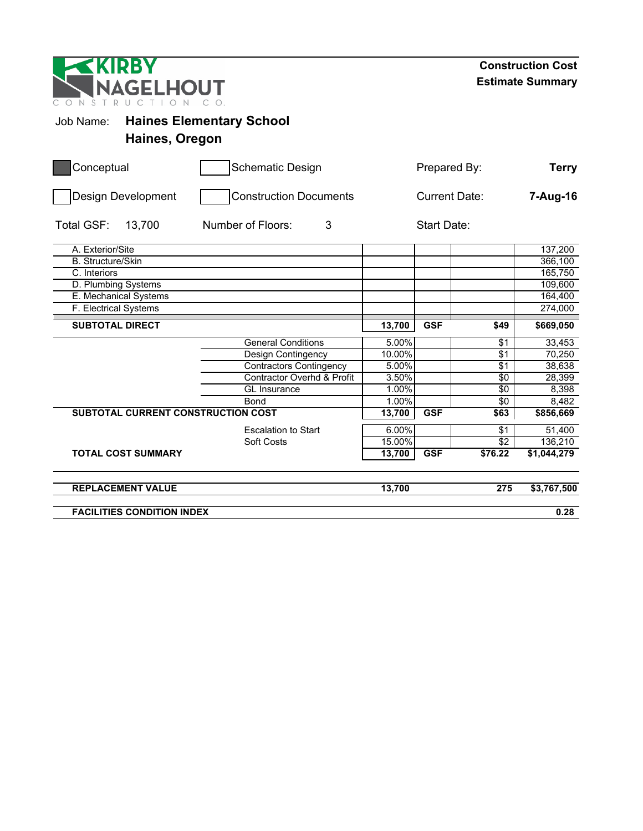| KIRBY<br><b>NAGELHOUT</b><br>$\mathsf{D}$<br>NST<br>$\Box$<br>$\subset$ |                                 | <b>Construction Cost</b><br><b>Estimate Summary</b> |            |             |                        |  |
|-------------------------------------------------------------------------|---------------------------------|-----------------------------------------------------|------------|-------------|------------------------|--|
| Job Name:<br>Haines, Oregon                                             | <b>Haines Elementary School</b> |                                                     |            |             |                        |  |
| Conceptual                                                              | <b>Schematic Design</b>         | Prepared By:                                        |            |             |                        |  |
| Design Development                                                      | <b>Construction Documents</b>   | <b>Current Date:</b>                                |            |             | 7-Aug-16               |  |
| <b>Total GSF:</b><br>13,700                                             | 3<br>Number of Floors:          |                                                     |            |             |                        |  |
| A. Exterior/Site                                                        |                                 |                                                     |            |             | 137,200                |  |
| <b>B.</b> Structure/Skin                                                |                                 |                                                     |            |             | 366,100                |  |
| $\overline{C}$ . Interiors                                              |                                 |                                                     |            |             | 165,750                |  |
| D. Plumbing Systems                                                     |                                 |                                                     |            |             | 109,600                |  |
| E. Mechanical Systems                                                   |                                 |                                                     |            |             | 164,400                |  |
| F. Electrical Systems                                                   |                                 |                                                     |            |             | 274,000                |  |
| <b>SUBTOTAL DIRECT</b>                                                  |                                 | 13,700                                              | <b>GSF</b> | \$49        | \$669,050              |  |
|                                                                         | <b>General Conditions</b>       | 5.00%                                               |            | \$1         | 33,453                 |  |
|                                                                         | Design Contingency              | 10.00%                                              |            | \$1         | 70,250                 |  |
|                                                                         | <b>Contractors Contingency</b>  | 5.00%                                               |            | \$1         | 38,638                 |  |
|                                                                         | Contractor Overhd & Profit      | 3.50%                                               |            | \$0         | 28,399                 |  |
|                                                                         | <b>GL</b> Insurance             | 1.00%                                               |            | \$0         | 8,398                  |  |
|                                                                         | <b>Bond</b>                     | 1.00%                                               |            | $\sqrt{6}$  | 8,482                  |  |
| SUBTOTAL CURRENT CONSTRUCTION COST                                      |                                 | 13,700                                              | <b>GSF</b> | \$63        | \$856,669              |  |
|                                                                         | <b>Escalation to Start</b>      | 6.00%                                               |            | $\sqrt{$1}$ | 51,400                 |  |
|                                                                         | Soft Costs                      | 15.00%                                              |            | $\sqrt{2}$  | 136,210                |  |
| <b>TOTAL COST SUMMARY</b>                                               |                                 | 13,700                                              | <b>GSF</b> | \$76.22     | $\overline{1,044,279}$ |  |
| <b>REPLACEMENT VALUE</b>                                                |                                 | 13,700                                              |            | 275         | \$3,767,500            |  |
| <b>FACILITIES CONDITION INDEX</b>                                       |                                 |                                                     |            |             | 0.28                   |  |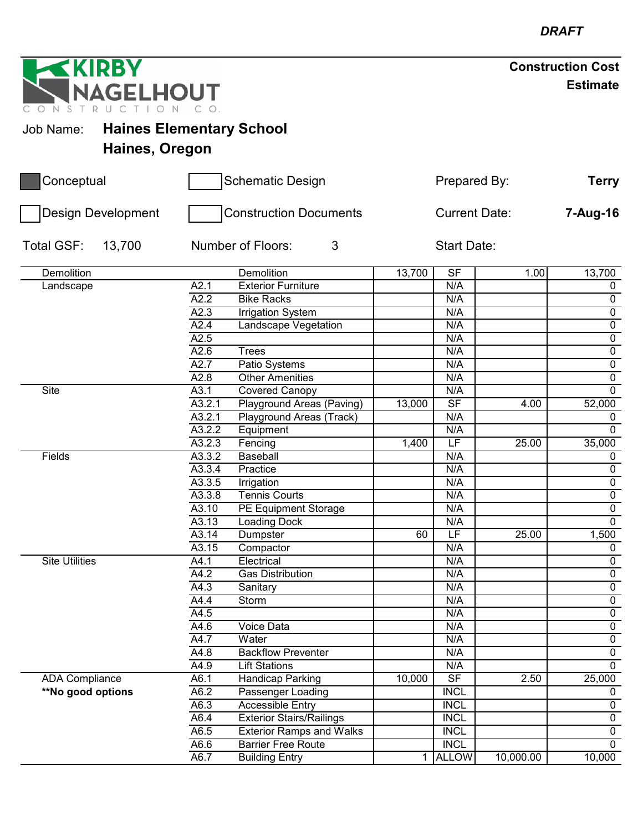**GELHOUT** N S T R U C

**IRBY** 

# Job Name: **Haines Elementary School**

**Haines, Oregon**

| Conceptual            |                        | <b>Schematic Design</b>         | Prepared By:         |                          |           | <b>Terry</b>   |
|-----------------------|------------------------|---------------------------------|----------------------|--------------------------|-----------|----------------|
| Design Development    |                        | <b>Construction Documents</b>   | <b>Current Date:</b> |                          |           | 7-Aug-16       |
| Total GSF:<br>13,700  | 3<br>Number of Floors: |                                 |                      |                          |           |                |
| Demolition            |                        | Demolition                      | 13,700               | S <sub>F</sub>           | 1.00      | 13,700         |
| Landscape             | A2.1                   | <b>Exterior Furniture</b>       |                      | N/A                      |           | $\mathbf 0$    |
|                       | $\overline{A2.2}$      | <b>Bike Racks</b>               |                      | N/A                      |           | $\overline{0}$ |
|                       | A2.3                   | <b>Irrigation System</b>        |                      | N/A                      |           | $\pmb{0}$      |
|                       | A2.4                   | <b>Landscape Vegetation</b>     |                      | N/A                      |           | $\overline{0}$ |
|                       | A2.5                   |                                 |                      | N/A                      |           | $\overline{0}$ |
|                       | A2.6                   | <b>Trees</b>                    |                      | N/A                      |           | $\overline{0}$ |
|                       | A2.7                   | Patio Systems                   |                      | N/A                      |           | $\mathbf 0$    |
|                       | A2.8                   | <b>Other Amenities</b>          |                      | N/A                      |           | $\overline{0}$ |
| <b>Site</b>           | A3.1                   | <b>Covered Canopy</b>           |                      | N/A                      |           | $\overline{0}$ |
|                       | A3.2.1                 | Playground Areas (Paving)       | 13,000               | $\overline{\mathsf{SF}}$ | 4.00      | 52,000         |
|                       | A3.2.1                 | Playground Areas (Track)        |                      | N/A                      |           | $\mathbf 0$    |
|                       | A3.2.2                 | Equipment                       |                      | N/A                      |           | $\mathbf 0$    |
|                       | A3.2.3                 | Fencing                         | 1,400                | $\overline{\mathsf{LF}}$ | 25.00     | 35,000         |
| Fields                | A3.3.2                 | Baseball                        |                      | N/A                      |           | 0              |
|                       | A3.3.4                 | Practice                        |                      | N/A                      |           | $\overline{0}$ |
|                       | A3.3.5                 | Irrigation                      |                      | N/A                      |           | $\overline{0}$ |
|                       | A3.3.8                 | <b>Tennis Courts</b>            |                      | N/A                      |           | $\overline{0}$ |
|                       | A3.10                  | PE Equipment Storage            |                      | N/A                      |           | $\overline{0}$ |
|                       | A3.13                  | <b>Loading Dock</b>             |                      | N/A                      |           | $\overline{0}$ |
|                       | A3.14                  | Dumpster                        | 60                   | LF                       | 25.00     | 1,500          |
|                       | A3.15                  | Compactor                       |                      | N/A                      |           | 0              |
| <b>Site Utilities</b> | A4.1                   | Electrical                      |                      | N/A                      |           | $\overline{0}$ |
|                       | A4.2                   | <b>Gas Distribution</b>         |                      | N/A                      |           | $\overline{0}$ |
|                       | A4.3                   | Sanitary                        |                      | N/A                      |           | $\overline{0}$ |
|                       | A4.4                   | Storm                           |                      | N/A                      |           | $\overline{0}$ |
|                       | A4.5                   |                                 |                      | N/A                      |           | $\overline{0}$ |
|                       | A4.6                   | <b>Voice Data</b>               |                      | N/A                      |           | $\overline{0}$ |
|                       | A4.7                   | Water                           |                      | N/A                      |           | $\overline{0}$ |
|                       | A4.8                   | <b>Backflow Preventer</b>       |                      | N/A                      |           | $\mathbf 0$    |
|                       | A4.9                   | <b>Lift Stations</b>            |                      | N/A                      |           | $\overline{0}$ |
| <b>ADA Compliance</b> | A6.1                   | <b>Handicap Parking</b>         | 10,000               | SF                       | 2.50      | 25,000         |
| **No good options     | A6.2                   | Passenger Loading               |                      | <b>INCL</b>              |           | $\mathbf 0$    |
|                       | A6.3                   | <b>Accessible Entry</b>         |                      | <b>INCL</b>              |           | $\overline{0}$ |
|                       | A6.4                   | <b>Exterior Stairs/Railings</b> |                      | <b>INCL</b>              |           | $\mathbf 0$    |
|                       | A6.5                   | <b>Exterior Ramps and Walks</b> |                      | <b>INCL</b>              |           | $\overline{0}$ |
|                       | A6.6                   | <b>Barrier Free Route</b>       |                      | <b>INCL</b>              |           | $\overline{0}$ |
|                       | A6.7                   | <b>Building Entry</b>           | 1                    | <b>ALLOW</b>             | 10,000.00 | 10,000         |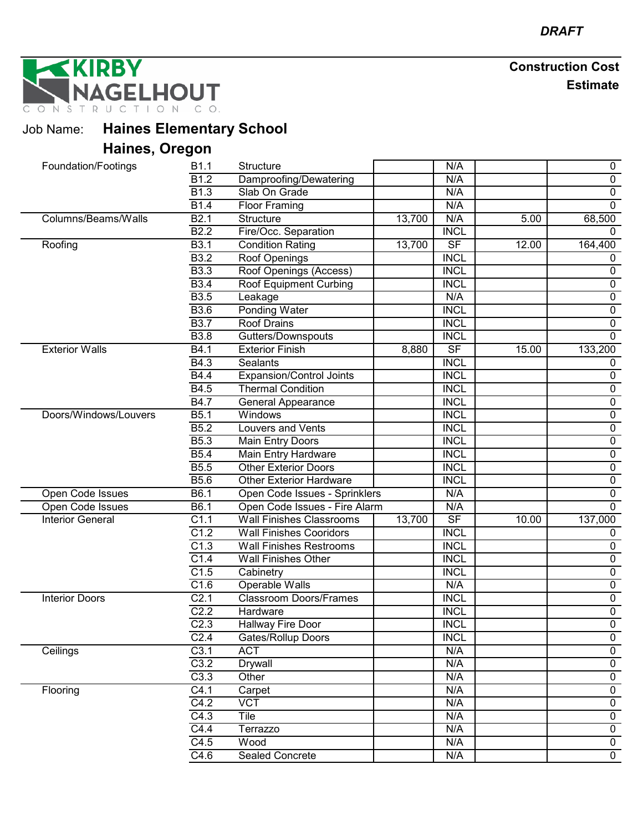**KIRBY** AGELHOUT STRU  $\mathbb N$ 

Job Name: **Haines Elementary School**

# **Haines, Oregon**

| Foundation/Footings     | B1.1              | <b>Structure</b>                |        | N/A                      |       | $\boldsymbol{0}$ |
|-------------------------|-------------------|---------------------------------|--------|--------------------------|-------|------------------|
|                         | $\overline{B1.2}$ | Damproofing/Dewatering          |        | N/A                      |       | $\overline{0}$   |
|                         | B <sub>1.3</sub>  | Slab On Grade                   |        | N/A                      |       | $\pmb{0}$        |
|                         | B1.4              | <b>Floor Framing</b>            |        | N/A                      |       | $\mathbf 0$      |
| Columns/Beams/Walls     | B2.1              | <b>Structure</b>                | 13,700 | N/A                      | 5.00  | 68,500           |
|                         | <b>B2.2</b>       | Fire/Occ. Separation            |        | <b>INCL</b>              |       | $\Omega$         |
| Roofing                 | <b>B3.1</b>       | <b>Condition Rating</b>         | 13,700 | SF                       | 12.00 | 164,400          |
|                         | <b>B3.2</b>       | Roof Openings                   |        | <b>INCL</b>              |       | 0                |
|                         | B <sub>3.3</sub>  | Roof Openings (Access)          |        | <b>INCL</b>              |       | $\mathbf 0$      |
|                         | <b>B3.4</b>       | Roof Equipment Curbing          |        | <b>INCL</b>              |       | $\overline{0}$   |
|                         | <b>B3.5</b>       | Leakage                         |        | N/A                      |       | $\mathbf 0$      |
|                         | <b>B3.6</b>       | <b>Ponding Water</b>            |        | <b>INCL</b>              |       | $\pmb{0}$        |
|                         | <b>B3.7</b>       | <b>Roof Drains</b>              |        | <b>INCL</b>              |       | $\overline{0}$   |
|                         | <b>B3.8</b>       | Gutters/Downspouts              |        | <b>INCL</b>              |       | $\overline{0}$   |
| <b>Exterior Walls</b>   | B4.1              | <b>Exterior Finish</b>          | 8,880  | $\overline{\mathsf{SF}}$ | 15.00 | 133,200          |
|                         | B4.3              | <b>Sealants</b>                 |        | <b>INCL</b>              |       | 0                |
|                         | B4.4              | Expansion/Control Joints        |        | <b>INCL</b>              |       | 0                |
|                         | B4.5              | <b>Thermal Condition</b>        |        | <b>INCL</b>              |       | $\mathbf 0$      |
|                         | <b>B4.7</b>       | <b>General Appearance</b>       |        | <b>INCL</b>              |       | $\mathbf 0$      |
| Doors/Windows/Louvers   | B5.1              | Windows                         |        | <b>INCL</b>              |       | $\mathbf 0$      |
|                         | B5.2              | Louvers and Vents               |        | <b>INCL</b>              |       | $\overline{0}$   |
|                         | <b>B5.3</b>       | Main Entry Doors                |        | <b>INCL</b>              |       | $\pmb{0}$        |
|                         | <b>B5.4</b>       | Main Entry Hardware             |        | <b>INCL</b>              |       | $\pmb{0}$        |
|                         | <b>B5.5</b>       | <b>Other Exterior Doors</b>     |        | <b>INCL</b>              |       | $\overline{0}$   |
|                         | <b>B5.6</b>       | <b>Other Exterior Hardware</b>  |        | <b>INCL</b>              |       | $\overline{0}$   |
| Open Code Issues        | B6.1              | Open Code Issues - Sprinklers   |        | N/A                      |       | $\pmb{0}$        |
| Open Code Issues        | B6.1              | Open Code Issues - Fire Alarm   |        | N/A                      |       | $\overline{0}$   |
| <b>Interior General</b> | C1.1              | <b>Wall Finishes Classrooms</b> | 13,700 | $\overline{\mathsf{SF}}$ | 10.00 | 137,000          |
|                         | C1.2              | <b>Wall Finishes Cooridors</b>  |        | <b>INCL</b>              |       | $\mathbf 0$      |
|                         | C1.3              | <b>Wall Finishes Restrooms</b>  |        | <b>INCL</b>              |       | $\mathbf 0$      |
|                         | C1.4              | Wall Finishes Other             |        | <b>INCL</b>              |       | $\mathbf 0$      |
|                         | C1.5              | Cabinetry                       |        | <b>INCL</b>              |       | $\overline{0}$   |
|                         | C1.6              | <b>Operable Walls</b>           |        | N/A                      |       | $\pmb{0}$        |
| <b>Interior Doors</b>   | C <sub>2.1</sub>  | <b>Classroom Doors/Frames</b>   |        | <b>INCL</b>              |       | $\overline{0}$   |
|                         | C <sub>2.2</sub>  | Hardware                        |        | <b>INCL</b>              |       | $\overline{0}$   |
|                         | C <sub>2.3</sub>  | Hallway Fire Door               |        | <b>INCL</b>              |       | $\overline{0}$   |
|                         | C2.4              | Gates/Rollup Doors              |        | <b>INCL</b>              |       | $\pmb{0}$        |
| Ceilings                | C3.1              | <b>ACT</b>                      |        | N/A                      |       | $\overline{0}$   |
|                         | C3.2              | Drywall                         |        | N/A                      |       | $\pmb{0}$        |
|                         | C3.3              | Other                           |        | N/A                      |       | $\pmb{0}$        |
| Flooring                | $\overline{C4.1}$ | Carpet                          |        | N/A                      |       | $\mathbf 0$      |
|                         | C4.2              | $\overline{VCT}$                |        | N/A                      |       | 0                |
|                         | C4.3              | Tile                            |        | N/A                      |       | $\overline{0}$   |
|                         | C4.4              | Terrazzo                        |        | N/A                      |       | $\mathbf 0$      |
|                         | C4.5              | Wood                            |        | N/A                      |       | $\mathbf 0$      |
|                         | C4.6              | <b>Sealed Concrete</b>          |        | N/A                      |       | $\overline{0}$   |
|                         |                   |                                 |        |                          |       |                  |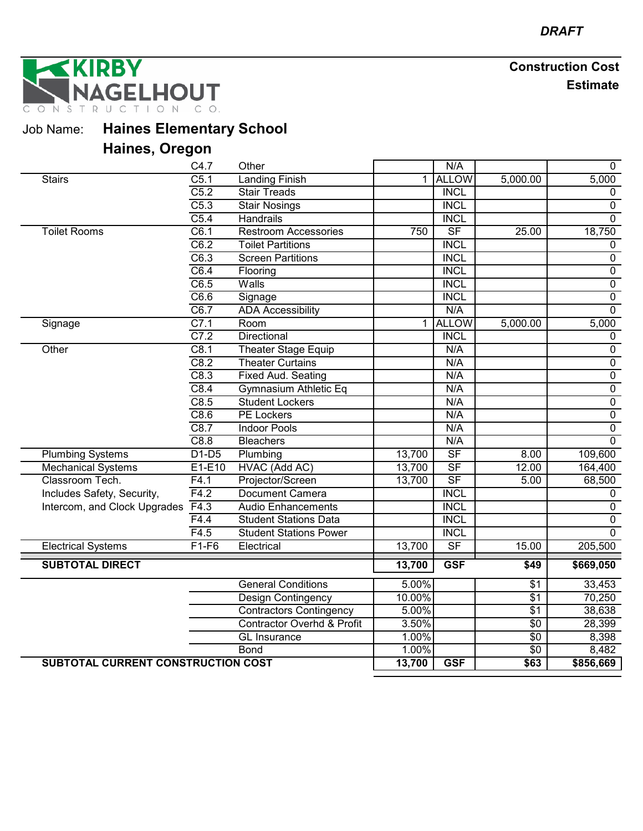**KIRBY GELHOUT** TION CO. ONSTRUC

Job Name: **Haines Elementary School**

# **Haines, Oregon**

|                                    | C4.7              | Other                                 |        | N/A                      |                 | 0              |
|------------------------------------|-------------------|---------------------------------------|--------|--------------------------|-----------------|----------------|
| <b>Stairs</b>                      | $\overline{C5.1}$ | <b>Landing Finish</b>                 | 1      | <b>ALLOW</b>             | 5,000.00        | 5,000          |
|                                    | C5.2              | <b>Stair Treads</b>                   |        | <b>INCL</b>              |                 | $\mathbf 0$    |
|                                    | C5.3              | <b>Stair Nosings</b>                  |        | <b>INCL</b>              |                 | $\mathbf 0$    |
|                                    | C5.4              | <b>Handrails</b>                      |        | <b>INCL</b>              |                 | $\overline{0}$ |
| <b>Toilet Rooms</b>                | C6.1              | <b>Restroom Accessories</b>           | 750    | $\overline{\mathsf{SF}}$ | 25.00           | 18,750         |
|                                    | C6.2              | <b>Toilet Partitions</b>              |        | <b>INCL</b>              |                 | $\mathbf 0$    |
|                                    | C6.3              | <b>Screen Partitions</b>              |        | <b>INCL</b>              |                 | $\pmb{0}$      |
|                                    | C6.4              | Flooring                              |        | <b>INCL</b>              |                 | 0              |
|                                    | C6.5              | Walls                                 |        | <b>INCL</b>              |                 | 0              |
|                                    | C6.6              | Signage                               |        | <b>INCL</b>              |                 | $\overline{0}$ |
|                                    | C6.7              | <b>ADA Accessibility</b>              |        | N/A                      |                 | $\overline{0}$ |
| Signage                            | C7.1              | Room                                  |        | 1 ALLOW                  | 5,000.00        | 5,000          |
|                                    | C7.2              | Directional                           |        | <b>INCL</b>              |                 | $\pmb{0}$      |
| Other                              | C8.1              | Theater Stage Equip                   |        | N/A                      |                 | $\pmb{0}$      |
|                                    | C8.2              | <b>Theater Curtains</b>               |        | N/A                      |                 | $\overline{0}$ |
|                                    | C8.3              | <b>Fixed Aud. Seating</b>             |        | N/A                      |                 | $\overline{0}$ |
|                                    | C8.4              | Gymnasium Athletic Eq                 |        | N/A                      |                 | $\overline{0}$ |
|                                    | C8.5              | <b>Student Lockers</b>                |        | N/A                      |                 | $\overline{0}$ |
|                                    | C8.6              | <b>PE Lockers</b>                     |        | N/A                      |                 | $\overline{0}$ |
|                                    | C8.7              | <b>Indoor Pools</b>                   |        | N/A                      |                 | $\overline{0}$ |
|                                    | C8.8              | <b>Bleachers</b>                      |        | N/A                      |                 | $\mathbf 0$    |
| <b>Plumbing Systems</b>            | $D1-D5$           | Plumbing                              | 13,700 | SF                       | 8.00            | 109,600        |
| <b>Mechanical Systems</b>          | $E1-E10$          | HVAC (Add AC)                         | 13,700 | $\overline{\mathsf{SF}}$ | 12.00           | 164,400        |
| Classroom Tech.                    | F4.1              | Projector/Screen                      | 13,700 | SF                       | 5.00            | 68,500         |
| Includes Safety, Security,         | F4.2              | <b>Document Camera</b>                |        | <b>INCL</b>              |                 | 0              |
| Intercom, and Clock Upgrades       | F4.3              | <b>Audio Enhancements</b>             |        | <b>INCL</b>              |                 | 0              |
|                                    | F4.4              | <b>Student Stations Data</b>          |        | <b>INCL</b>              |                 | $\overline{0}$ |
|                                    | F4.5              | <b>Student Stations Power</b>         |        | <b>INCL</b>              |                 | $\overline{0}$ |
| <b>Electrical Systems</b>          | $F1-F6$           | Electrical                            | 13,700 | $\overline{\mathsf{SF}}$ | 15.00           | 205,500        |
| <b>SUBTOTAL DIRECT</b>             |                   |                                       | 13,700 | <b>GSF</b>               | \$49            | \$669,050      |
|                                    |                   | <b>General Conditions</b>             | 5.00%  |                          | $\sqrt{$1}$     | 33,453         |
|                                    |                   |                                       | 10.00% |                          | $\overline{$1}$ | 70,250         |
|                                    |                   | <b>Design Contingency</b>             | 5.00%  |                          | \$1             | 38,638         |
|                                    |                   | <b>Contractors Contingency</b>        |        |                          |                 |                |
|                                    |                   | <b>Contractor Overhd &amp; Profit</b> | 3.50%  |                          | $\overline{$}0$ | 28,399         |
|                                    |                   | <b>GL</b> Insurance                   | 1.00%  |                          | $\overline{50}$ | 8,398          |
|                                    |                   | <b>Bond</b>                           | 1.00%  |                          | $\overline{$}0$ | 8,482          |
| SUBTOTAL CURRENT CONSTRUCTION COST |                   |                                       | 13,700 | <b>GSF</b>               | \$63            | \$856,669      |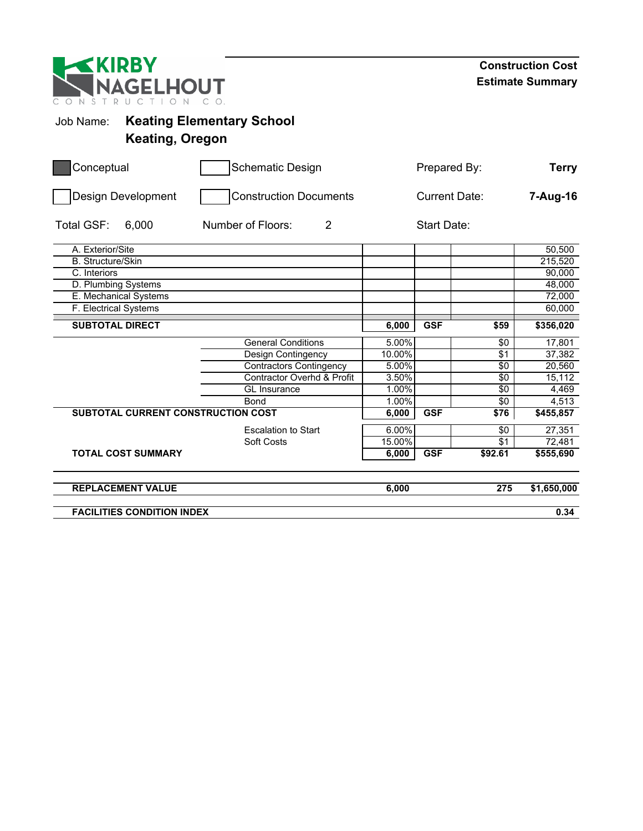| <b>EKIRBY</b><br>NAGELHOUT<br>NSTRU<br>$\subset$ |                                                            |                      |            |              | <b>Construction Cost</b><br><b>Estimate Summary</b> |
|--------------------------------------------------|------------------------------------------------------------|----------------------|------------|--------------|-----------------------------------------------------|
| Job Name:                                        | <b>Keating Elementary School</b><br><b>Keating, Oregon</b> |                      |            |              |                                                     |
| Conceptual                                       | <b>Schematic Design</b>                                    |                      |            | Prepared By: | <b>Terry</b>                                        |
| Design Development                               | <b>Construction Documents</b>                              | <b>Current Date:</b> |            |              | 7-Aug-16                                            |
| Total GSF:<br>6,000                              | Number of Floors:<br>$\overline{2}$                        | <b>Start Date:</b>   |            |              |                                                     |
| A. Exterior/Site                                 |                                                            |                      |            |              | 50,500                                              |
| <b>B.</b> Structure/Skin                         |                                                            |                      |            |              | 215,520                                             |
| C. Interiors                                     |                                                            |                      |            |              | 90,000                                              |
| D. Plumbing Systems                              |                                                            |                      |            |              | 48,000                                              |
| E. Mechanical Systems                            |                                                            |                      |            |              | 72,000                                              |
| F. Electrical Systems                            |                                                            |                      |            |              | 60,000                                              |
| <b>SUBTOTAL DIRECT</b>                           |                                                            | 6,000                | <b>GSF</b> | \$59         | \$356,020                                           |
|                                                  | <b>General Conditions</b>                                  | 5.00%                |            | $\sqrt{6}$   | 17,801                                              |
|                                                  | Design Contingency                                         | 10.00%               |            | $\sqrt{31}$  | 37,382                                              |
|                                                  | <b>Contractors Contingency</b>                             | 5.00%                |            | \$0          | 20.560                                              |
|                                                  | <b>Contractor Overhd &amp; Profit</b>                      | 3.50%                |            | \$0          | 15,112                                              |
|                                                  | <b>GL</b> Insurance                                        | 1.00%                |            | \$0          | 4,469                                               |
|                                                  | <b>Bond</b>                                                | 1.00%                |            | $\sqrt{6}$   | 4,513                                               |
| SUBTOTAL CURRENT CONSTRUCTION COST               |                                                            | 6,000                | <b>GSF</b> | \$76         | \$455,857                                           |
|                                                  | <b>Escalation to Start</b>                                 | 6.00%                |            | $\sqrt{6}$   | 27,351                                              |
|                                                  | Soft Costs                                                 | 15.00%               |            | \$1          | 72,481                                              |
| <b>TOTAL COST SUMMARY</b>                        |                                                            | 6,000                | <b>GSF</b> | \$92.61      | $\overline{$}555,690$                               |
| <b>REPLACEMENT VALUE</b>                         |                                                            | 6,000                |            | 275          | \$1,650,000                                         |
| <b>FACILITIES CONDITION INDEX</b>                |                                                            |                      |            |              | 0.34                                                |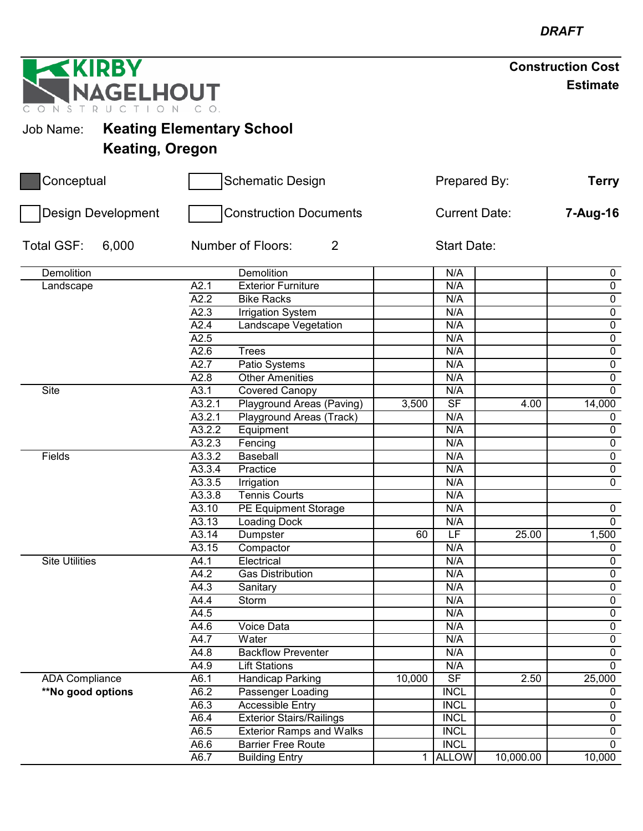| <b>Construction Cost</b> |  |
|--------------------------|--|
| <b>Estimate</b>          |  |

**GELHOUT** ONSTRUC Job Name: **Keating Elementary School**

**IRBY** 

 $\left| \right|$ 

**Keating, Oregon**

| <b>Design Development</b><br><b>Construction Documents</b><br><b>Current Date:</b><br>Total GSF:<br>$\overline{2}$<br>6,000<br>Number of Floors:<br><b>Start Date:</b><br>Demolition<br>Demolition<br>N/A<br>$\mathbf 0$<br>$\overline{0}$<br>A2.1<br><b>Exterior Furniture</b><br>N/A<br>Landscape<br>$\overline{0}$<br>A2.2<br><b>Bike Racks</b><br>N/A<br>$\pmb{0}$<br>A2.3<br>N/A<br><b>Irrigation System</b><br>A2.4<br>$\overline{0}$<br>Landscape Vegetation<br>N/A<br>$\overline{0}$<br>A2.5<br>N/A<br>A2.6<br><b>Trees</b><br>N/A<br>$\pmb{0}$<br>A2.7<br>N/A<br>$\overline{0}$<br>Patio Systems<br>A2.8<br><b>Other Amenities</b><br>N/A<br>$\overline{0}$<br>Site<br>A3.1<br>Covered Canopy<br>N/A<br>$\mathbf 0$<br>$\overline{\mathsf{SF}}$<br>A3.2.1<br>Playground Areas (Paving)<br>3,500<br>4.00<br>14,000<br>A3.2.1<br>N/A<br>Playground Areas (Track)<br>$\mathbf 0$<br>A3.2.2<br>$\overline{0}$<br>Equipment<br>N/A<br>$\overline{0}$<br>A3.2.3<br>Fencing<br>N/A<br>$\overline{0}$<br>A3.3.2<br>Fields<br>Baseball<br>N/A<br>A3.3.4<br>$\overline{0}$<br>Practice<br>N/A<br>$\overline{0}$<br>A3.3.5<br>Irrigation<br>N/A<br>A3.3.8<br><b>Tennis Courts</b><br>N/A<br>A3.10<br>PE Equipment Storage<br>N/A<br>0<br>$\overline{0}$<br>A3.13<br>N/A<br><b>Loading Dock</b><br>LF<br>A3.14<br>25.00<br>1,500<br>Dumpster<br>60<br>A3.15<br>Compactor<br>N/A<br>0<br>$\overline{0}$<br><b>Site Utilities</b><br>Electrical<br>N/A<br>A4.1<br>$\overline{0}$<br>A4.2<br><b>Gas Distribution</b><br>N/A<br>$\overline{0}$<br>A4.3<br>N/A<br>Sanitary<br>$\overline{0}$<br>A4.4<br>Storm<br>N/A<br>$\overline{0}$<br>A4.5<br>N/A<br>$\overline{0}$<br><b>Voice Data</b><br>N/A<br>A4.6<br>$\pmb{0}$<br>A4.7<br>N/A<br>Water<br><b>Backflow Preventer</b><br>N/A<br>$\mathsf{O}$<br>A4.8<br>$\overline{0}$<br>A4.9<br><b>Lift Stations</b><br>N/A<br>S <sub>F</sub><br>2.50<br>25,000<br><b>ADA Compliance</b><br><b>Handicap Parking</b><br>10,000<br>A6.1<br>**No good options<br>A6.2<br><b>INCL</b><br>Passenger Loading<br>0<br>A6.3<br><b>Accessible Entry</b><br><b>INCL</b><br>$\overline{0}$<br><b>Exterior Stairs/Railings</b><br><b>INCL</b><br>A6.4<br>$\mathbf 0$<br><b>INCL</b><br>$\pmb{0}$<br>A6.5<br><b>Exterior Ramps and Walks</b><br>$\overline{0}$<br><b>INCL</b><br>A6.6<br><b>Barrier Free Route</b><br>A6.7<br><b>ALLOW</b><br><b>Building Entry</b><br>10,000.00<br>10,000<br>1 | Conceptual | <b>Schematic Design</b> | Prepared By: |  | <b>Terry</b> |          |
|----------------------------------------------------------------------------------------------------------------------------------------------------------------------------------------------------------------------------------------------------------------------------------------------------------------------------------------------------------------------------------------------------------------------------------------------------------------------------------------------------------------------------------------------------------------------------------------------------------------------------------------------------------------------------------------------------------------------------------------------------------------------------------------------------------------------------------------------------------------------------------------------------------------------------------------------------------------------------------------------------------------------------------------------------------------------------------------------------------------------------------------------------------------------------------------------------------------------------------------------------------------------------------------------------------------------------------------------------------------------------------------------------------------------------------------------------------------------------------------------------------------------------------------------------------------------------------------------------------------------------------------------------------------------------------------------------------------------------------------------------------------------------------------------------------------------------------------------------------------------------------------------------------------------------------------------------------------------------------------------------------------------------------------------------------------------------------------------------------------------------------------------------------------------------------------------------------------------------------------------------------------------------------------------------------------------------------------------------------------------------------------------------------------------|------------|-------------------------|--------------|--|--------------|----------|
|                                                                                                                                                                                                                                                                                                                                                                                                                                                                                                                                                                                                                                                                                                                                                                                                                                                                                                                                                                                                                                                                                                                                                                                                                                                                                                                                                                                                                                                                                                                                                                                                                                                                                                                                                                                                                                                                                                                                                                                                                                                                                                                                                                                                                                                                                                                                                                                                                      |            |                         |              |  |              | 7-Aug-16 |
|                                                                                                                                                                                                                                                                                                                                                                                                                                                                                                                                                                                                                                                                                                                                                                                                                                                                                                                                                                                                                                                                                                                                                                                                                                                                                                                                                                                                                                                                                                                                                                                                                                                                                                                                                                                                                                                                                                                                                                                                                                                                                                                                                                                                                                                                                                                                                                                                                      |            |                         |              |  |              |          |
|                                                                                                                                                                                                                                                                                                                                                                                                                                                                                                                                                                                                                                                                                                                                                                                                                                                                                                                                                                                                                                                                                                                                                                                                                                                                                                                                                                                                                                                                                                                                                                                                                                                                                                                                                                                                                                                                                                                                                                                                                                                                                                                                                                                                                                                                                                                                                                                                                      |            |                         |              |  |              |          |
|                                                                                                                                                                                                                                                                                                                                                                                                                                                                                                                                                                                                                                                                                                                                                                                                                                                                                                                                                                                                                                                                                                                                                                                                                                                                                                                                                                                                                                                                                                                                                                                                                                                                                                                                                                                                                                                                                                                                                                                                                                                                                                                                                                                                                                                                                                                                                                                                                      |            |                         |              |  |              |          |
|                                                                                                                                                                                                                                                                                                                                                                                                                                                                                                                                                                                                                                                                                                                                                                                                                                                                                                                                                                                                                                                                                                                                                                                                                                                                                                                                                                                                                                                                                                                                                                                                                                                                                                                                                                                                                                                                                                                                                                                                                                                                                                                                                                                                                                                                                                                                                                                                                      |            |                         |              |  |              |          |
|                                                                                                                                                                                                                                                                                                                                                                                                                                                                                                                                                                                                                                                                                                                                                                                                                                                                                                                                                                                                                                                                                                                                                                                                                                                                                                                                                                                                                                                                                                                                                                                                                                                                                                                                                                                                                                                                                                                                                                                                                                                                                                                                                                                                                                                                                                                                                                                                                      |            |                         |              |  |              |          |
|                                                                                                                                                                                                                                                                                                                                                                                                                                                                                                                                                                                                                                                                                                                                                                                                                                                                                                                                                                                                                                                                                                                                                                                                                                                                                                                                                                                                                                                                                                                                                                                                                                                                                                                                                                                                                                                                                                                                                                                                                                                                                                                                                                                                                                                                                                                                                                                                                      |            |                         |              |  |              |          |
|                                                                                                                                                                                                                                                                                                                                                                                                                                                                                                                                                                                                                                                                                                                                                                                                                                                                                                                                                                                                                                                                                                                                                                                                                                                                                                                                                                                                                                                                                                                                                                                                                                                                                                                                                                                                                                                                                                                                                                                                                                                                                                                                                                                                                                                                                                                                                                                                                      |            |                         |              |  |              |          |
|                                                                                                                                                                                                                                                                                                                                                                                                                                                                                                                                                                                                                                                                                                                                                                                                                                                                                                                                                                                                                                                                                                                                                                                                                                                                                                                                                                                                                                                                                                                                                                                                                                                                                                                                                                                                                                                                                                                                                                                                                                                                                                                                                                                                                                                                                                                                                                                                                      |            |                         |              |  |              |          |
|                                                                                                                                                                                                                                                                                                                                                                                                                                                                                                                                                                                                                                                                                                                                                                                                                                                                                                                                                                                                                                                                                                                                                                                                                                                                                                                                                                                                                                                                                                                                                                                                                                                                                                                                                                                                                                                                                                                                                                                                                                                                                                                                                                                                                                                                                                                                                                                                                      |            |                         |              |  |              |          |
|                                                                                                                                                                                                                                                                                                                                                                                                                                                                                                                                                                                                                                                                                                                                                                                                                                                                                                                                                                                                                                                                                                                                                                                                                                                                                                                                                                                                                                                                                                                                                                                                                                                                                                                                                                                                                                                                                                                                                                                                                                                                                                                                                                                                                                                                                                                                                                                                                      |            |                         |              |  |              |          |
|                                                                                                                                                                                                                                                                                                                                                                                                                                                                                                                                                                                                                                                                                                                                                                                                                                                                                                                                                                                                                                                                                                                                                                                                                                                                                                                                                                                                                                                                                                                                                                                                                                                                                                                                                                                                                                                                                                                                                                                                                                                                                                                                                                                                                                                                                                                                                                                                                      |            |                         |              |  |              |          |
|                                                                                                                                                                                                                                                                                                                                                                                                                                                                                                                                                                                                                                                                                                                                                                                                                                                                                                                                                                                                                                                                                                                                                                                                                                                                                                                                                                                                                                                                                                                                                                                                                                                                                                                                                                                                                                                                                                                                                                                                                                                                                                                                                                                                                                                                                                                                                                                                                      |            |                         |              |  |              |          |
|                                                                                                                                                                                                                                                                                                                                                                                                                                                                                                                                                                                                                                                                                                                                                                                                                                                                                                                                                                                                                                                                                                                                                                                                                                                                                                                                                                                                                                                                                                                                                                                                                                                                                                                                                                                                                                                                                                                                                                                                                                                                                                                                                                                                                                                                                                                                                                                                                      |            |                         |              |  |              |          |
|                                                                                                                                                                                                                                                                                                                                                                                                                                                                                                                                                                                                                                                                                                                                                                                                                                                                                                                                                                                                                                                                                                                                                                                                                                                                                                                                                                                                                                                                                                                                                                                                                                                                                                                                                                                                                                                                                                                                                                                                                                                                                                                                                                                                                                                                                                                                                                                                                      |            |                         |              |  |              |          |
|                                                                                                                                                                                                                                                                                                                                                                                                                                                                                                                                                                                                                                                                                                                                                                                                                                                                                                                                                                                                                                                                                                                                                                                                                                                                                                                                                                                                                                                                                                                                                                                                                                                                                                                                                                                                                                                                                                                                                                                                                                                                                                                                                                                                                                                                                                                                                                                                                      |            |                         |              |  |              |          |
|                                                                                                                                                                                                                                                                                                                                                                                                                                                                                                                                                                                                                                                                                                                                                                                                                                                                                                                                                                                                                                                                                                                                                                                                                                                                                                                                                                                                                                                                                                                                                                                                                                                                                                                                                                                                                                                                                                                                                                                                                                                                                                                                                                                                                                                                                                                                                                                                                      |            |                         |              |  |              |          |
|                                                                                                                                                                                                                                                                                                                                                                                                                                                                                                                                                                                                                                                                                                                                                                                                                                                                                                                                                                                                                                                                                                                                                                                                                                                                                                                                                                                                                                                                                                                                                                                                                                                                                                                                                                                                                                                                                                                                                                                                                                                                                                                                                                                                                                                                                                                                                                                                                      |            |                         |              |  |              |          |
|                                                                                                                                                                                                                                                                                                                                                                                                                                                                                                                                                                                                                                                                                                                                                                                                                                                                                                                                                                                                                                                                                                                                                                                                                                                                                                                                                                                                                                                                                                                                                                                                                                                                                                                                                                                                                                                                                                                                                                                                                                                                                                                                                                                                                                                                                                                                                                                                                      |            |                         |              |  |              |          |
|                                                                                                                                                                                                                                                                                                                                                                                                                                                                                                                                                                                                                                                                                                                                                                                                                                                                                                                                                                                                                                                                                                                                                                                                                                                                                                                                                                                                                                                                                                                                                                                                                                                                                                                                                                                                                                                                                                                                                                                                                                                                                                                                                                                                                                                                                                                                                                                                                      |            |                         |              |  |              |          |
|                                                                                                                                                                                                                                                                                                                                                                                                                                                                                                                                                                                                                                                                                                                                                                                                                                                                                                                                                                                                                                                                                                                                                                                                                                                                                                                                                                                                                                                                                                                                                                                                                                                                                                                                                                                                                                                                                                                                                                                                                                                                                                                                                                                                                                                                                                                                                                                                                      |            |                         |              |  |              |          |
|                                                                                                                                                                                                                                                                                                                                                                                                                                                                                                                                                                                                                                                                                                                                                                                                                                                                                                                                                                                                                                                                                                                                                                                                                                                                                                                                                                                                                                                                                                                                                                                                                                                                                                                                                                                                                                                                                                                                                                                                                                                                                                                                                                                                                                                                                                                                                                                                                      |            |                         |              |  |              |          |
|                                                                                                                                                                                                                                                                                                                                                                                                                                                                                                                                                                                                                                                                                                                                                                                                                                                                                                                                                                                                                                                                                                                                                                                                                                                                                                                                                                                                                                                                                                                                                                                                                                                                                                                                                                                                                                                                                                                                                                                                                                                                                                                                                                                                                                                                                                                                                                                                                      |            |                         |              |  |              |          |
|                                                                                                                                                                                                                                                                                                                                                                                                                                                                                                                                                                                                                                                                                                                                                                                                                                                                                                                                                                                                                                                                                                                                                                                                                                                                                                                                                                                                                                                                                                                                                                                                                                                                                                                                                                                                                                                                                                                                                                                                                                                                                                                                                                                                                                                                                                                                                                                                                      |            |                         |              |  |              |          |
|                                                                                                                                                                                                                                                                                                                                                                                                                                                                                                                                                                                                                                                                                                                                                                                                                                                                                                                                                                                                                                                                                                                                                                                                                                                                                                                                                                                                                                                                                                                                                                                                                                                                                                                                                                                                                                                                                                                                                                                                                                                                                                                                                                                                                                                                                                                                                                                                                      |            |                         |              |  |              |          |
|                                                                                                                                                                                                                                                                                                                                                                                                                                                                                                                                                                                                                                                                                                                                                                                                                                                                                                                                                                                                                                                                                                                                                                                                                                                                                                                                                                                                                                                                                                                                                                                                                                                                                                                                                                                                                                                                                                                                                                                                                                                                                                                                                                                                                                                                                                                                                                                                                      |            |                         |              |  |              |          |
|                                                                                                                                                                                                                                                                                                                                                                                                                                                                                                                                                                                                                                                                                                                                                                                                                                                                                                                                                                                                                                                                                                                                                                                                                                                                                                                                                                                                                                                                                                                                                                                                                                                                                                                                                                                                                                                                                                                                                                                                                                                                                                                                                                                                                                                                                                                                                                                                                      |            |                         |              |  |              |          |
|                                                                                                                                                                                                                                                                                                                                                                                                                                                                                                                                                                                                                                                                                                                                                                                                                                                                                                                                                                                                                                                                                                                                                                                                                                                                                                                                                                                                                                                                                                                                                                                                                                                                                                                                                                                                                                                                                                                                                                                                                                                                                                                                                                                                                                                                                                                                                                                                                      |            |                         |              |  |              |          |
|                                                                                                                                                                                                                                                                                                                                                                                                                                                                                                                                                                                                                                                                                                                                                                                                                                                                                                                                                                                                                                                                                                                                                                                                                                                                                                                                                                                                                                                                                                                                                                                                                                                                                                                                                                                                                                                                                                                                                                                                                                                                                                                                                                                                                                                                                                                                                                                                                      |            |                         |              |  |              |          |
|                                                                                                                                                                                                                                                                                                                                                                                                                                                                                                                                                                                                                                                                                                                                                                                                                                                                                                                                                                                                                                                                                                                                                                                                                                                                                                                                                                                                                                                                                                                                                                                                                                                                                                                                                                                                                                                                                                                                                                                                                                                                                                                                                                                                                                                                                                                                                                                                                      |            |                         |              |  |              |          |
|                                                                                                                                                                                                                                                                                                                                                                                                                                                                                                                                                                                                                                                                                                                                                                                                                                                                                                                                                                                                                                                                                                                                                                                                                                                                                                                                                                                                                                                                                                                                                                                                                                                                                                                                                                                                                                                                                                                                                                                                                                                                                                                                                                                                                                                                                                                                                                                                                      |            |                         |              |  |              |          |
|                                                                                                                                                                                                                                                                                                                                                                                                                                                                                                                                                                                                                                                                                                                                                                                                                                                                                                                                                                                                                                                                                                                                                                                                                                                                                                                                                                                                                                                                                                                                                                                                                                                                                                                                                                                                                                                                                                                                                                                                                                                                                                                                                                                                                                                                                                                                                                                                                      |            |                         |              |  |              |          |
|                                                                                                                                                                                                                                                                                                                                                                                                                                                                                                                                                                                                                                                                                                                                                                                                                                                                                                                                                                                                                                                                                                                                                                                                                                                                                                                                                                                                                                                                                                                                                                                                                                                                                                                                                                                                                                                                                                                                                                                                                                                                                                                                                                                                                                                                                                                                                                                                                      |            |                         |              |  |              |          |
|                                                                                                                                                                                                                                                                                                                                                                                                                                                                                                                                                                                                                                                                                                                                                                                                                                                                                                                                                                                                                                                                                                                                                                                                                                                                                                                                                                                                                                                                                                                                                                                                                                                                                                                                                                                                                                                                                                                                                                                                                                                                                                                                                                                                                                                                                                                                                                                                                      |            |                         |              |  |              |          |
|                                                                                                                                                                                                                                                                                                                                                                                                                                                                                                                                                                                                                                                                                                                                                                                                                                                                                                                                                                                                                                                                                                                                                                                                                                                                                                                                                                                                                                                                                                                                                                                                                                                                                                                                                                                                                                                                                                                                                                                                                                                                                                                                                                                                                                                                                                                                                                                                                      |            |                         |              |  |              |          |
|                                                                                                                                                                                                                                                                                                                                                                                                                                                                                                                                                                                                                                                                                                                                                                                                                                                                                                                                                                                                                                                                                                                                                                                                                                                                                                                                                                                                                                                                                                                                                                                                                                                                                                                                                                                                                                                                                                                                                                                                                                                                                                                                                                                                                                                                                                                                                                                                                      |            |                         |              |  |              |          |
|                                                                                                                                                                                                                                                                                                                                                                                                                                                                                                                                                                                                                                                                                                                                                                                                                                                                                                                                                                                                                                                                                                                                                                                                                                                                                                                                                                                                                                                                                                                                                                                                                                                                                                                                                                                                                                                                                                                                                                                                                                                                                                                                                                                                                                                                                                                                                                                                                      |            |                         |              |  |              |          |
|                                                                                                                                                                                                                                                                                                                                                                                                                                                                                                                                                                                                                                                                                                                                                                                                                                                                                                                                                                                                                                                                                                                                                                                                                                                                                                                                                                                                                                                                                                                                                                                                                                                                                                                                                                                                                                                                                                                                                                                                                                                                                                                                                                                                                                                                                                                                                                                                                      |            |                         |              |  |              |          |
|                                                                                                                                                                                                                                                                                                                                                                                                                                                                                                                                                                                                                                                                                                                                                                                                                                                                                                                                                                                                                                                                                                                                                                                                                                                                                                                                                                                                                                                                                                                                                                                                                                                                                                                                                                                                                                                                                                                                                                                                                                                                                                                                                                                                                                                                                                                                                                                                                      |            |                         |              |  |              |          |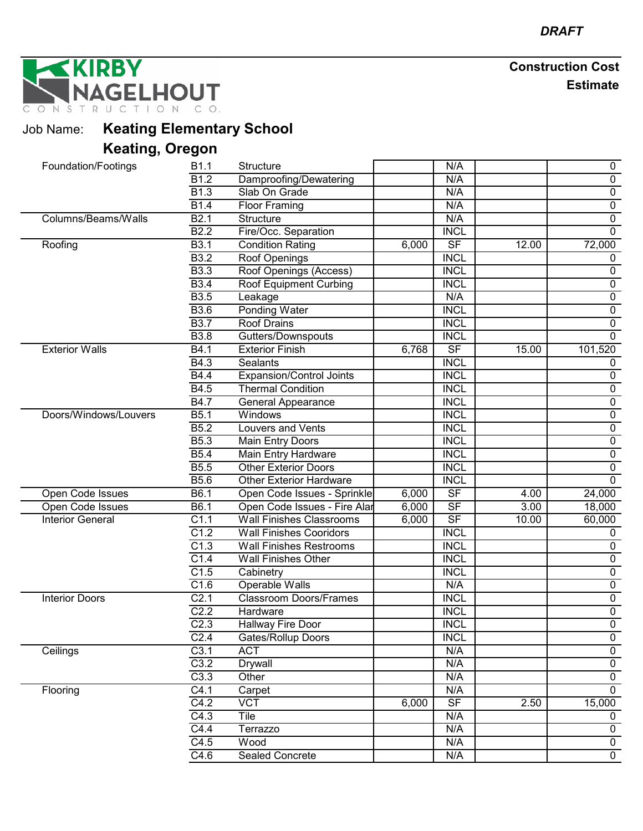NAGELHOUT

| <b>Job Name:</b> Keating Elementary School |
|--------------------------------------------|
| <b>Keating, Oregon</b>                     |

| Foundation/Footings     | B1.1              | <b>Structure</b>                |       | N/A                      |                   | $\mathbf 0$    |
|-------------------------|-------------------|---------------------------------|-------|--------------------------|-------------------|----------------|
|                         | $\overline{B1.2}$ | Damproofing/Dewatering          |       | N/A                      |                   | $\mathbf 0$    |
|                         | B <sub>1.3</sub>  | Slab On Grade                   |       | N/A                      |                   | $\overline{0}$ |
|                         | B1.4              | <b>Floor Framing</b>            |       | N/A                      |                   | $\pmb{0}$      |
| Columns/Beams/Walls     | B2.1              | Structure                       |       | N/A                      |                   | $\overline{0}$ |
|                         | B2.2              | Fire/Occ. Separation            |       | <b>INCL</b>              |                   | $\mathbf 0$    |
| Roofing                 | <b>B3.1</b>       | <b>Condition Rating</b>         | 6,000 | $\overline{\mathsf{SF}}$ | 12.00             | 72,000         |
|                         | B3.2              | Roof Openings                   |       | <b>INCL</b>              |                   | 0              |
|                         | <b>B3.3</b>       | Roof Openings (Access)          |       | <b>INCL</b>              |                   | $\overline{0}$ |
|                         | <b>B3.4</b>       | Roof Equipment Curbing          |       | <b>INCL</b>              |                   | $\mathbf 0$    |
|                         | <b>B3.5</b>       | Leakage                         |       | N/A                      |                   | $\overline{0}$ |
|                         | <b>B3.6</b>       | Ponding Water                   |       | <b>INCL</b>              |                   | $\mathbf 0$    |
|                         | <b>B3.7</b>       | <b>Roof Drains</b>              |       | <b>INCL</b>              |                   | 0              |
|                         | <b>B</b> 3.8      | Gutters/Downspouts              |       | <b>INCL</b>              |                   | $\overline{0}$ |
| <b>Exterior Walls</b>   | B4.1              | <b>Exterior Finish</b>          | 6,768 | $\overline{\mathsf{SF}}$ | 15.00             | 101,520        |
|                         | B4.3              | <b>Sealants</b>                 |       | <b>INCL</b>              |                   | 0              |
|                         | <b>B4.4</b>       | <b>Expansion/Control Joints</b> |       | <b>INCL</b>              |                   | $\mathbf 0$    |
|                         | B4.5              | <b>Thermal Condition</b>        |       | <b>INCL</b>              |                   | $\mathbf 0$    |
|                         | B4.7              | <b>General Appearance</b>       |       | <b>INCL</b>              |                   | $\pmb{0}$      |
| Doors/Windows/Louvers   | B5.1              | Windows                         |       | <b>INCL</b>              |                   | $\overline{0}$ |
|                         | B5.2              | <b>Louvers and Vents</b>        |       | <b>INCL</b>              |                   | $\overline{0}$ |
|                         | <b>B5.3</b>       | Main Entry Doors                |       | <b>INCL</b>              |                   | $\pmb{0}$      |
|                         | <b>B5.4</b>       | Main Entry Hardware             |       | <b>INCL</b>              |                   | $\overline{0}$ |
|                         | <b>B5.5</b>       | <b>Other Exterior Doors</b>     |       | <b>INCL</b>              |                   | $\mathbf 0$    |
|                         | <b>B5.6</b>       | <b>Other Exterior Hardware</b>  |       | <b>INCL</b>              |                   | $\overline{0}$ |
| Open Code Issues        | B6.1              | Open Code Issues - Sprinkle     | 6,000 | $\overline{\mathsf{SF}}$ | 4.00              | 24,000         |
| Open Code Issues        | B6.1              | Open Code Issues - Fire Alar    | 6,000 | S <sub>F</sub>           | $\overline{3.00}$ | 18,000         |
| <b>Interior General</b> | C1.1              | <b>Wall Finishes Classrooms</b> | 6,000 | $\overline{\mathsf{SF}}$ | 10.00             | 60,000         |
|                         | C1.2              | <b>Wall Finishes Cooridors</b>  |       | <b>INCL</b>              |                   | 0              |
|                         | C1.3              | <b>Wall Finishes Restrooms</b>  |       | <b>INCL</b>              |                   | $\mathbf 0$    |
|                         | C1.4              | <b>Wall Finishes Other</b>      |       | <b>INCL</b>              |                   | $\overline{0}$ |
|                         | C1.5              | Cabinetry                       |       | <b>INCL</b>              |                   | $\pmb{0}$      |
|                         | C1.6              | Operable Walls                  |       | N/A                      |                   | $\pmb{0}$      |
| <b>Interior Doors</b>   | C <sub>2.1</sub>  | <b>Classroom Doors/Frames</b>   |       | <b>INCL</b>              |                   | $\overline{0}$ |
|                         | C2.2              | Hardware                        |       | <b>INCL</b>              |                   | $\pmb{0}$      |
|                         | C2.3              | Hallway Fire Door               |       | <b>INCL</b>              |                   | $\overline{0}$ |
|                         | C <sub>2.4</sub>  | Gates/Rollup Doors              |       | <b>INCL</b>              |                   | 0              |
| Ceilings                | C3.1              | <b>ACT</b>                      |       | N/A                      |                   | $\mathbf 0$    |
|                         | C3.2              | <b>Drywall</b>                  |       | N/A                      |                   | $\overline{0}$ |
|                         | C3.3              | Other                           |       | N/A                      |                   | $\mathbf 0$    |
| Flooring                | C4.1              | Carpet                          |       | N/A                      |                   | $\overline{0}$ |
|                         | C4.2              | $\overline{VCT}$                | 6,000 | SF                       | 2.50              | 15,000         |
|                         | C4.3              | <b>Tile</b>                     |       | N/A                      |                   | $\mathbf 0$    |
|                         | C4.4              | Terrazzo                        |       | N/A                      |                   | 0              |
|                         | C4.5              | Wood                            |       | N/A                      |                   | $\mathbf 0$    |
|                         | C4.6              | <b>Sealed Concrete</b>          |       | N/A                      |                   | $\mathbf 0$    |
|                         |                   |                                 |       |                          |                   |                |